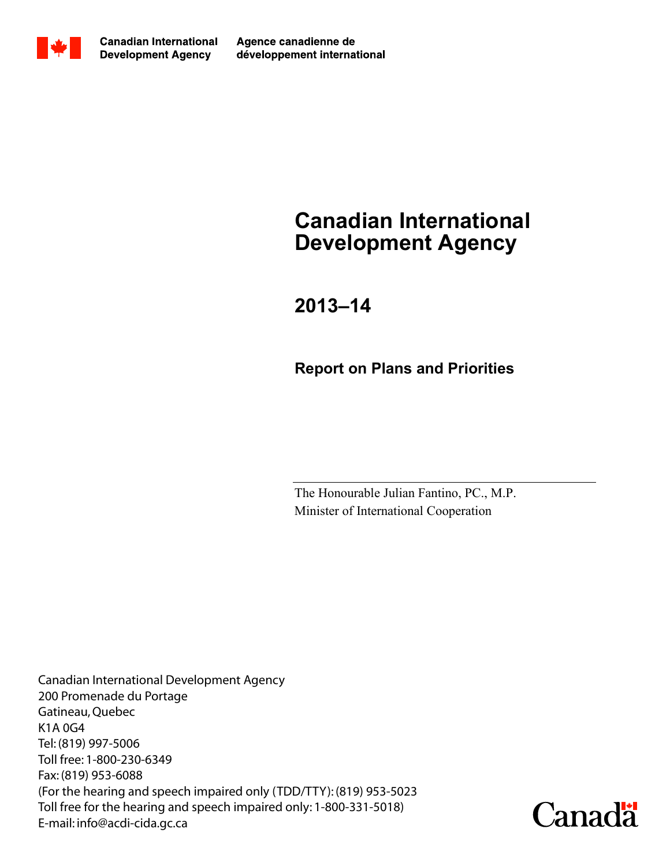

Agence canadienne de développement international

# Canadian International Development Agency

2013–14

Report on Plans and Priorities

The Honourable Julian Fantino, PC., M.P. Minister of International Cooperation

Canadian International Development Agency 200 Promenade du Portage Gatineau, Quebec K1A 0G4 Tel: (819) 997-5006 Toll free: 1-800-230-6349 Fax: (819) 953-6088 (For the hearing and speech impaired only (TDD/TTY): (819) 953-5023 Toll free for the hearing and speech impaired only: 1-800-331-5018) E-mail: info@acdi-cida.gc.ca

**Canada**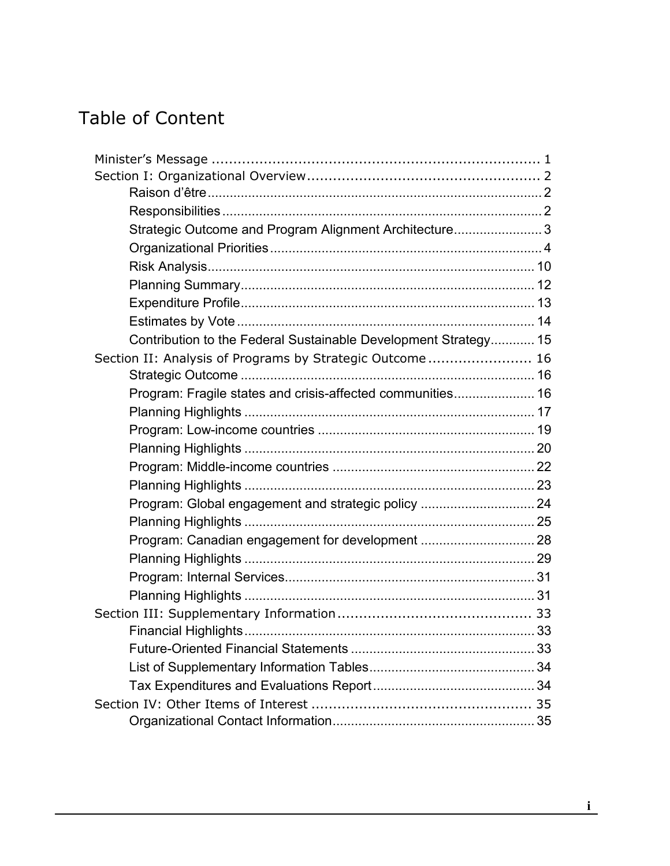# Table of Content

| Strategic Outcome and Program Alignment Architecture 3          |  |
|-----------------------------------------------------------------|--|
|                                                                 |  |
|                                                                 |  |
|                                                                 |  |
|                                                                 |  |
|                                                                 |  |
| Contribution to the Federal Sustainable Development Strategy 15 |  |
| Section II: Analysis of Programs by Strategic Outcome 16        |  |
|                                                                 |  |
| Program: Fragile states and crisis-affected communities 16      |  |
|                                                                 |  |
|                                                                 |  |
|                                                                 |  |
|                                                                 |  |
|                                                                 |  |
| Program: Global engagement and strategic policy  24             |  |
|                                                                 |  |
| Program: Canadian engagement for development  28                |  |
|                                                                 |  |
|                                                                 |  |
|                                                                 |  |
|                                                                 |  |
|                                                                 |  |
|                                                                 |  |
|                                                                 |  |
|                                                                 |  |
|                                                                 |  |
|                                                                 |  |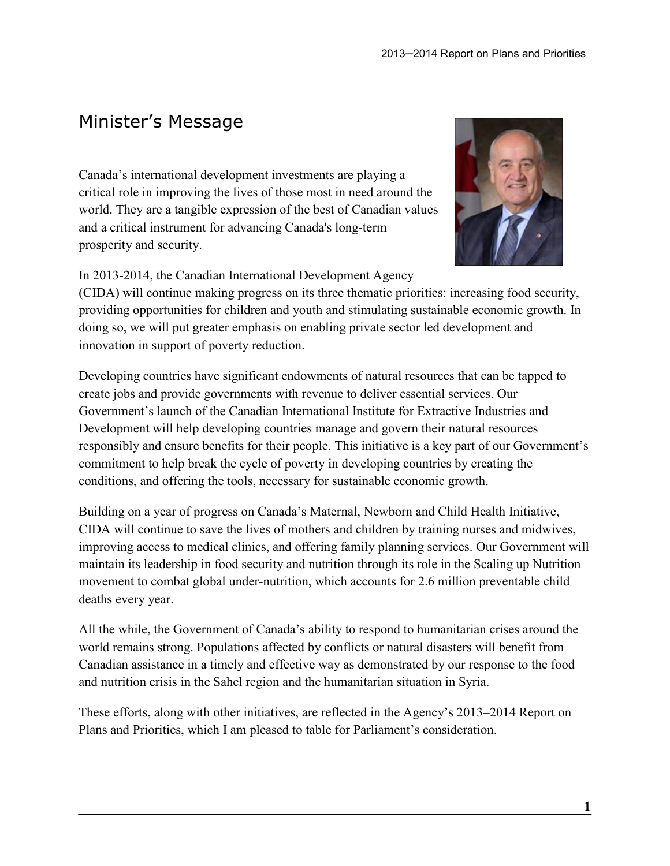# Minister's Message

Canada's international development investments are playing a critical role in improving the lives of those most in need around the world. They are a tangible expression of the best of Canadian values and a critical instrument for advancing Canada's long-term prosperity and security.



(CIDA) will continue making progress on its three thematic priorities: increasing food security, providing opportunities for children and youth and stimulating sustainable economic growth. In doing so, we will put greater emphasis on enabling private sector led development and innovation in support of poverty reduction.

Developing countries have significant endowments of natural resources that can be tapped to create jobs and provide governments with revenue to deliver essential services. Our Government's launch of the Canadian International Institute for Extractive Industries and Development will help developing countries manage and govern their natural resources responsibly and ensure benefits for their people. This initiative is a key part of our Government's commitment to help break the cycle of poverty in developing countries by creating the conditions, and offering the tools, necessary for sustainable economic growth.

Building on a year of progress on Canada's Maternal, Newborn and Child Health Initiative, CIDA will continue to save the lives of mothers and children by training nurses and midwives, improving access to medical clinics, and offering family planning services. Our Government will maintain its leadership in food security and nutrition through its role in the Scaling up Nutrition movement to combat global under-nutrition, which accounts for 2.6 million preventable child deaths every year.

All the while, the Government of Canada's ability to respond to humanitarian crises around the world remains strong. Populations affected by conflicts or natural disasters will benefit from Canadian assistance in a timely and effective way as demonstrated by our response to the food and nutrition crisis in the Sahel region and the humanitarian situation in Syria.

These efforts, along with other initiatives, are reflected in the Agency's 2013–2014 Report on Plans and Priorities, which I am pleased to table for Parliament's consideration.

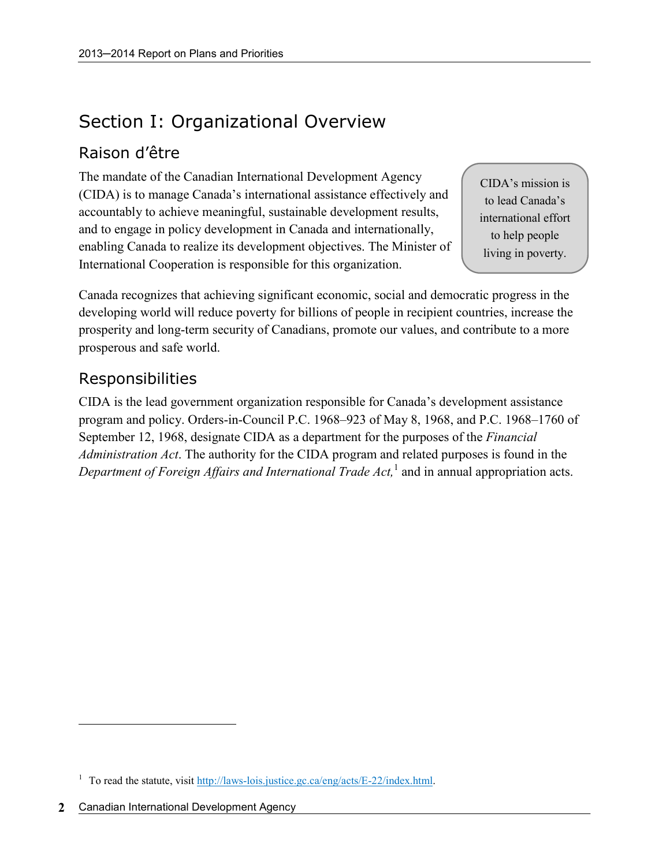# Section I: Organizational Overview

### Raison d'être

The mandate of the Canadian International Development Agency (CIDA) is to manage Canada's international assistance effectively and accountably to achieve meaningful, sustainable development results, and to engage in policy development in Canada and internationally, enabling Canada to realize its development objectives. The Minister of International Cooperation is responsible for this organization.

CIDA's mission is to lead Canada's international effort to help people living in poverty.

Canada recognizes that achieving significant economic, social and democratic progress in the developing world will reduce poverty for billions of people in recipient countries, increase the prosperity and long-term security of Canadians, promote our values, and contribute to a more prosperous and safe world.

### Responsibilities

CIDA is the lead government organization responsible for Canada's development assistance program and policy. Orders-in-Council P.C. 1968–923 of May 8, 1968, and P.C. 1968–1760 of September 12, 1968, designate CIDA as a department for the purposes of the Financial Administration Act. The authority for the CIDA program and related purposes is found in the Department of Foreign Affairs and International Trade Act,<sup>1</sup> and in annual appropriation acts.

 $\overline{a}$ 

<sup>&</sup>lt;sup>1</sup> To read the statute, visit http://laws-lois.justice.gc.ca/eng/acts/E-22/index.html.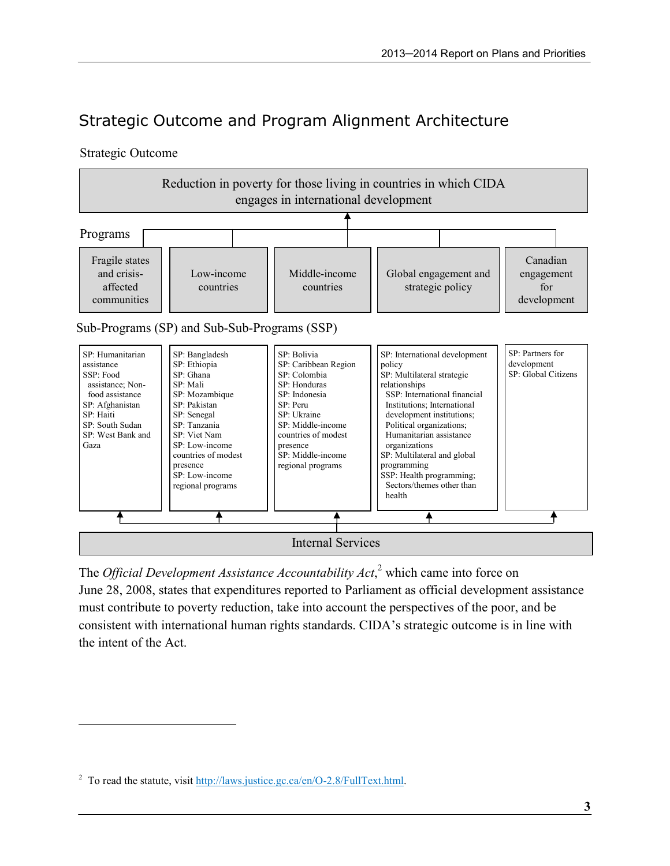# Strategic Outcome and Program Alignment Architecture

#### Strategic Outcome

 $\overline{a}$ 



The *Official Development Assistance Accountability Act*,<sup>2</sup> which came into force on June 28, 2008, states that expenditures reported to Parliament as official development assistance must contribute to poverty reduction, take into account the perspectives of the poor, and be consistent with international human rights standards. CIDA's strategic outcome is in line with the intent of the Act.

<sup>&</sup>lt;sup>2</sup> To read the statute, visit  $\frac{http://laws.justice.ge.ca/en/O-2.8/FullText.html}{http://laws.justice.ge.ca/en/O-2.8/FullText.html}.$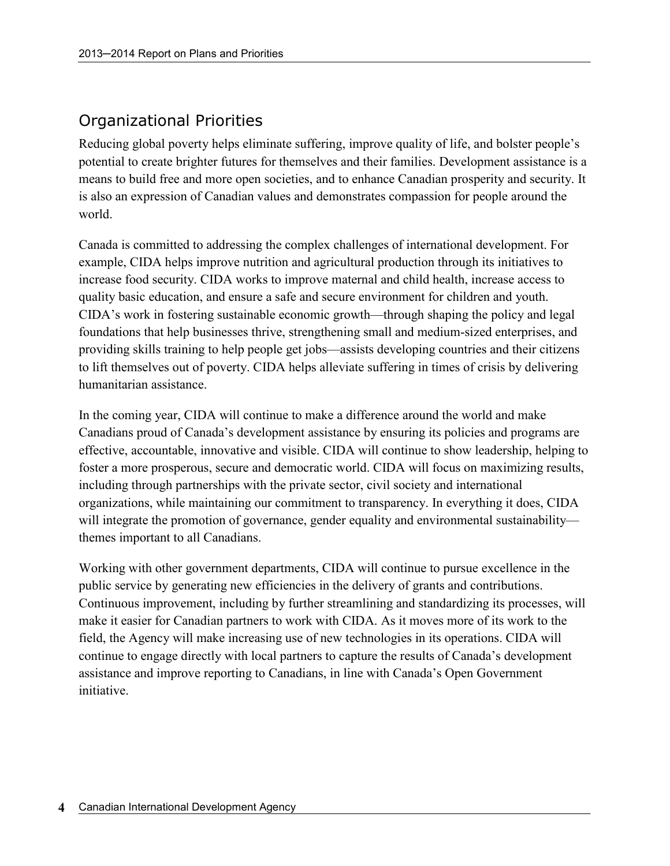### Organizational Priorities

Reducing global poverty helps eliminate suffering, improve quality of life, and bolster people's potential to create brighter futures for themselves and their families. Development assistance is a means to build free and more open societies, and to enhance Canadian prosperity and security. It is also an expression of Canadian values and demonstrates compassion for people around the world.

Canada is committed to addressing the complex challenges of international development. For example, CIDA helps improve nutrition and agricultural production through its initiatives to increase food security. CIDA works to improve maternal and child health, increase access to quality basic education, and ensure a safe and secure environment for children and youth. CIDA's work in fostering sustainable economic growth—through shaping the policy and legal foundations that help businesses thrive, strengthening small and medium-sized enterprises, and providing skills training to help people get jobs—assists developing countries and their citizens to lift themselves out of poverty. CIDA helps alleviate suffering in times of crisis by delivering humanitarian assistance.

In the coming year, CIDA will continue to make a difference around the world and make Canadians proud of Canada's development assistance by ensuring its policies and programs are effective, accountable, innovative and visible. CIDA will continue to show leadership, helping to foster a more prosperous, secure and democratic world. CIDA will focus on maximizing results, including through partnerships with the private sector, civil society and international organizations, while maintaining our commitment to transparency. In everything it does, CIDA will integrate the promotion of governance, gender equality and environmental sustainability themes important to all Canadians.

Working with other government departments, CIDA will continue to pursue excellence in the public service by generating new efficiencies in the delivery of grants and contributions. Continuous improvement, including by further streamlining and standardizing its processes, will make it easier for Canadian partners to work with CIDA. As it moves more of its work to the field, the Agency will make increasing use of new technologies in its operations. CIDA will continue to engage directly with local partners to capture the results of Canada's development assistance and improve reporting to Canadians, in line with Canada's Open Government initiative.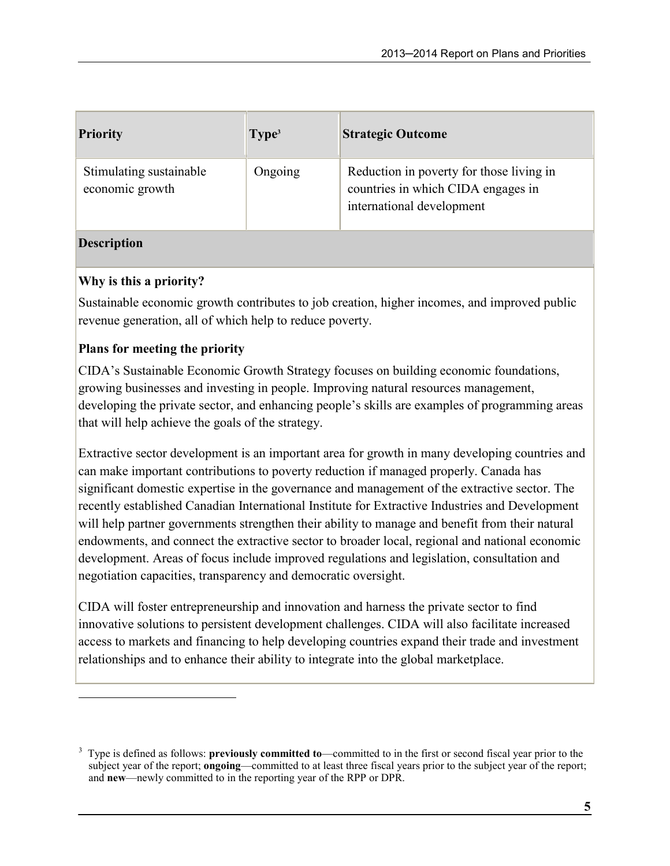| <b>Priority</b>                            | Type <sup>3</sup> | <b>Strategic Outcome</b>                                                                                    |
|--------------------------------------------|-------------------|-------------------------------------------------------------------------------------------------------------|
| Stimulating sustainable<br>economic growth | Ongoing           | Reduction in poverty for those living in<br>countries in which CIDA engages in<br>international development |

### Description

 $\overline{a}$ 

### Why is this a priority?

Sustainable economic growth contributes to job creation, higher incomes, and improved public revenue generation, all of which help to reduce poverty.

### Plans for meeting the priority

CIDA's Sustainable Economic Growth Strategy focuses on building economic foundations, growing businesses and investing in people. Improving natural resources management, developing the private sector, and enhancing people's skills are examples of programming areas that will help achieve the goals of the strategy.

Extractive sector development is an important area for growth in many developing countries and can make important contributions to poverty reduction if managed properly. Canada has significant domestic expertise in the governance and management of the extractive sector. The recently established Canadian International Institute for Extractive Industries and Development will help partner governments strengthen their ability to manage and benefit from their natural endowments, and connect the extractive sector to broader local, regional and national economic development. Areas of focus include improved regulations and legislation, consultation and negotiation capacities, transparency and democratic oversight.

CIDA will foster entrepreneurship and innovation and harness the private sector to find innovative solutions to persistent development challenges. CIDA will also facilitate increased access to markets and financing to help developing countries expand their trade and investment relationships and to enhance their ability to integrate into the global marketplace.

<sup>3</sup> Type is defined as follows: previously committed to—committed to in the first or second fiscal year prior to the subject year of the report; **ongoing—committed** to at least three fiscal years prior to the subject year of the report; and new—newly committed to in the reporting year of the RPP or DPR.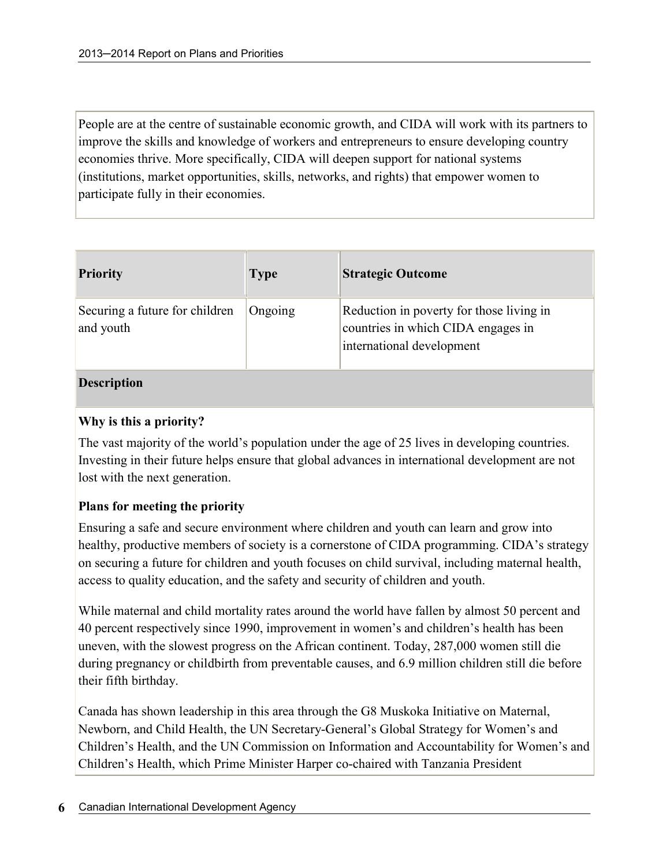People are at the centre of sustainable economic growth, and CIDA will work with its partners to improve the skills and knowledge of workers and entrepreneurs to ensure developing country economies thrive. More specifically, CIDA will deepen support for national systems (institutions, market opportunities, skills, networks, and rights) that empower women to participate fully in their economies.

| <b>Priority</b>                             | <b>Type</b> | <b>Strategic Outcome</b>                                                                                    |
|---------------------------------------------|-------------|-------------------------------------------------------------------------------------------------------------|
| Securing a future for children<br>and youth | Ongoing     | Reduction in poverty for those living in<br>countries in which CIDA engages in<br>international development |

#### Description

#### Why is this a priority?

The vast majority of the world's population under the age of 25 lives in developing countries. Investing in their future helps ensure that global advances in international development are not lost with the next generation.

#### Plans for meeting the priority

Ensuring a safe and secure environment where children and youth can learn and grow into healthy, productive members of society is a cornerstone of CIDA programming. CIDA's strategy on securing a future for children and youth focuses on child survival, including maternal health, access to quality education, and the safety and security of children and youth.

While maternal and child mortality rates around the world have fallen by almost 50 percent and 40 percent respectively since 1990, improvement in women's and children's health has been uneven, with the slowest progress on the African continent. Today, 287,000 women still die during pregnancy or childbirth from preventable causes, and 6.9 million children still die before their fifth birthday.

Canada has shown leadership in this area through the G8 Muskoka Initiative on Maternal, Newborn, and Child Health, the UN Secretary-General's Global Strategy for Women's and Children's Health, and the UN Commission on Information and Accountability for Women's and Children's Health, which Prime Minister Harper co-chaired with Tanzania President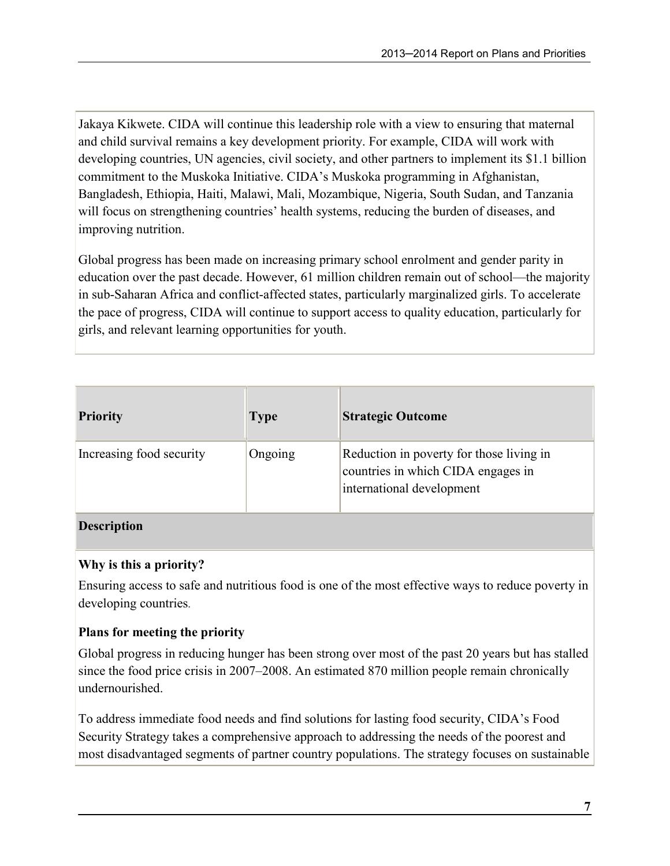Jakaya Kikwete. CIDA will continue this leadership role with a view to ensuring that maternal and child survival remains a key development priority. For example, CIDA will work with developing countries, UN agencies, civil society, and other partners to implement its \$1.1 billion commitment to the Muskoka Initiative. CIDA's Muskoka programming in Afghanistan, Bangladesh, Ethiopia, Haiti, Malawi, Mali, Mozambique, Nigeria, South Sudan, and Tanzania will focus on strengthening countries' health systems, reducing the burden of diseases, and improving nutrition.

Global progress has been made on increasing primary school enrolment and gender parity in education over the past decade. However, 61 million children remain out of school—the majority in sub-Saharan Africa and conflict-affected states, particularly marginalized girls. To accelerate the pace of progress, CIDA will continue to support access to quality education, particularly for girls, and relevant learning opportunities for youth.

| <b>Priority</b>          | <b>Type</b> | <b>Strategic Outcome</b>                                                                                    |
|--------------------------|-------------|-------------------------------------------------------------------------------------------------------------|
| Increasing food security | Ongoing     | Reduction in poverty for those living in<br>countries in which CIDA engages in<br>international development |
|                          |             |                                                                                                             |

### **Description**

#### Why is this a priority?

Ensuring access to safe and nutritious food is one of the most effective ways to reduce poverty in developing countries.

### Plans for meeting the priority

Global progress in reducing hunger has been strong over most of the past 20 years but has stalled since the food price crisis in 2007–2008. An estimated 870 million people remain chronically undernourished.

To address immediate food needs and find solutions for lasting food security, CIDA's Food Security Strategy takes a comprehensive approach to addressing the needs of the poorest and most disadvantaged segments of partner country populations. The strategy focuses on sustainable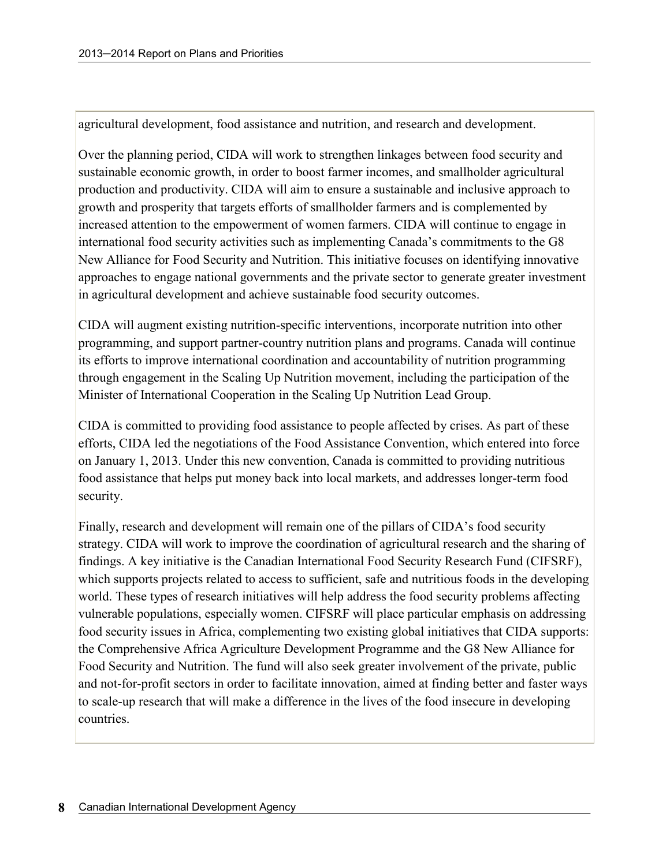agricultural development, food assistance and nutrition, and research and development.

Over the planning period, CIDA will work to strengthen linkages between food security and sustainable economic growth, in order to boost farmer incomes, and smallholder agricultural production and productivity. CIDA will aim to ensure a sustainable and inclusive approach to growth and prosperity that targets efforts of smallholder farmers and is complemented by increased attention to the empowerment of women farmers. CIDA will continue to engage in international food security activities such as implementing Canada's commitments to the G8 New Alliance for Food Security and Nutrition. This initiative focuses on identifying innovative approaches to engage national governments and the private sector to generate greater investment in agricultural development and achieve sustainable food security outcomes.

CIDA will augment existing nutrition-specific interventions, incorporate nutrition into other programming, and support partner-country nutrition plans and programs. Canada will continue its efforts to improve international coordination and accountability of nutrition programming through engagement in the Scaling Up Nutrition movement, including the participation of the Minister of International Cooperation in the Scaling Up Nutrition Lead Group.

CIDA is committed to providing food assistance to people affected by crises. As part of these efforts, CIDA led the negotiations of the Food Assistance Convention, which entered into force on January 1, 2013. Under this new convention, Canada is committed to providing nutritious food assistance that helps put money back into local markets, and addresses longer-term food security.

Finally, research and development will remain one of the pillars of CIDA's food security strategy. CIDA will work to improve the coordination of agricultural research and the sharing of findings. A key initiative is the Canadian International Food Security Research Fund (CIFSRF), which supports projects related to access to sufficient, safe and nutritious foods in the developing world. These types of research initiatives will help address the food security problems affecting vulnerable populations, especially women. CIFSRF will place particular emphasis on addressing food security issues in Africa, complementing two existing global initiatives that CIDA supports: the Comprehensive Africa Agriculture Development Programme and the G8 New Alliance for Food Security and Nutrition. The fund will also seek greater involvement of the private, public and not-for-profit sectors in order to facilitate innovation, aimed at finding better and faster ways to scale-up research that will make a difference in the lives of the food insecure in developing countries.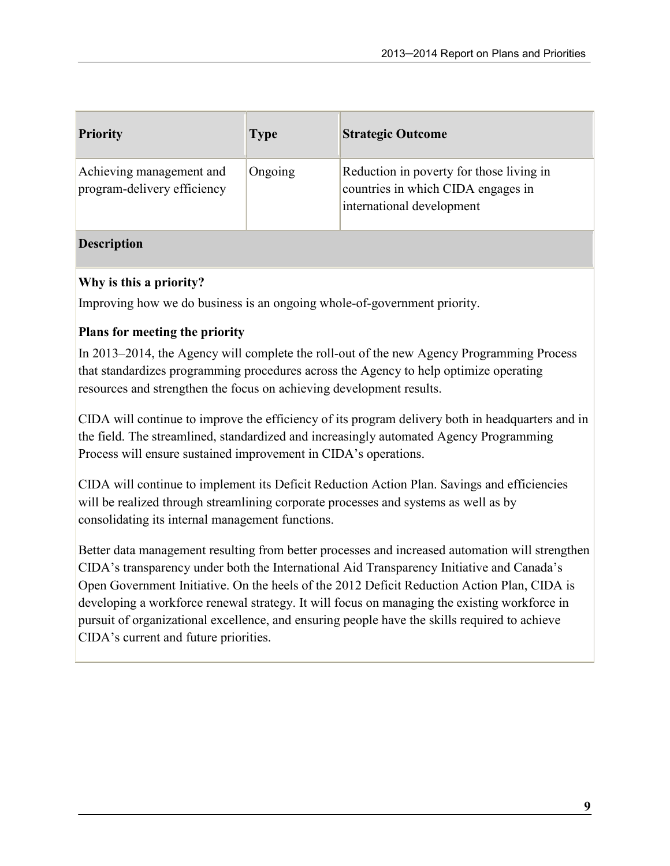| <b>Priority</b>                                         | <b>Type</b> | <b>Strategic Outcome</b>                                                                                    |
|---------------------------------------------------------|-------------|-------------------------------------------------------------------------------------------------------------|
| Achieving management and<br>program-delivery efficiency | Ongoing     | Reduction in poverty for those living in<br>countries in which CIDA engages in<br>international development |

### **Description**

### Why is this a priority?

Improving how we do business is an ongoing whole-of-government priority.

### Plans for meeting the priority

In 2013–2014, the Agency will complete the roll-out of the new Agency Programming Process that standardizes programming procedures across the Agency to help optimize operating resources and strengthen the focus on achieving development results.

CIDA will continue to improve the efficiency of its program delivery both in headquarters and in the field. The streamlined, standardized and increasingly automated Agency Programming Process will ensure sustained improvement in CIDA's operations.

CIDA will continue to implement its Deficit Reduction Action Plan. Savings and efficiencies will be realized through streamlining corporate processes and systems as well as by consolidating its internal management functions.

Better data management resulting from better processes and increased automation will strengthen CIDA's transparency under both the International Aid Transparency Initiative and Canada's Open Government Initiative. On the heels of the 2012 Deficit Reduction Action Plan, CIDA is developing a workforce renewal strategy. It will focus on managing the existing workforce in pursuit of organizational excellence, and ensuring people have the skills required to achieve CIDA's current and future priorities.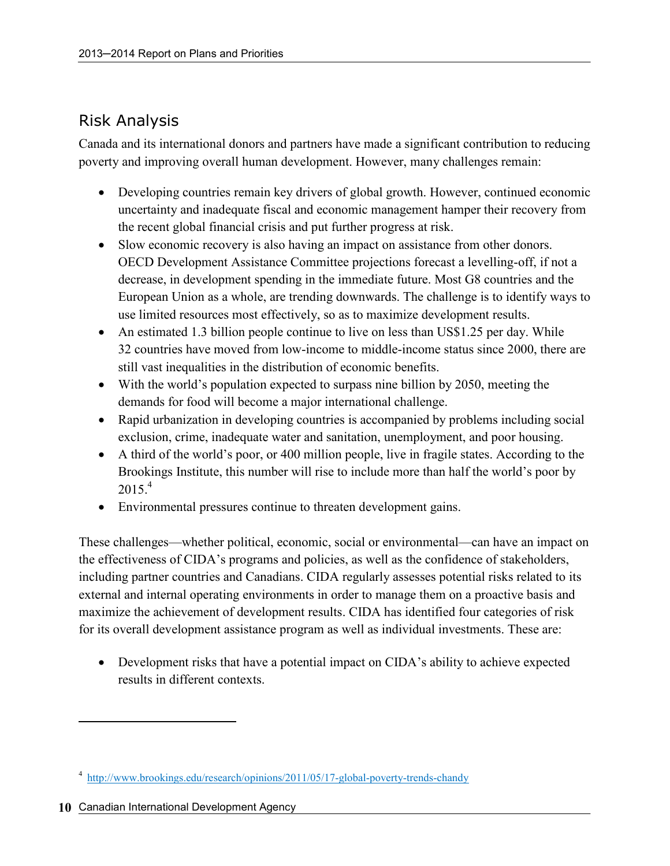### Risk Analysis

Canada and its international donors and partners have made a significant contribution to reducing poverty and improving overall human development. However, many challenges remain:

- Developing countries remain key drivers of global growth. However, continued economic uncertainty and inadequate fiscal and economic management hamper their recovery from the recent global financial crisis and put further progress at risk.
- Slow economic recovery is also having an impact on assistance from other donors. OECD Development Assistance Committee projections forecast a levelling-off, if not a decrease, in development spending in the immediate future. Most G8 countries and the European Union as a whole, are trending downwards. The challenge is to identify ways to use limited resources most effectively, so as to maximize development results.
- An estimated 1.3 billion people continue to live on less than US\$1.25 per day. While 32 countries have moved from low-income to middle-income status since 2000, there are still vast inequalities in the distribution of economic benefits.
- With the world's population expected to surpass nine billion by 2050, meeting the demands for food will become a major international challenge.
- Rapid urbanization in developing countries is accompanied by problems including social exclusion, crime, inadequate water and sanitation, unemployment, and poor housing.
- A third of the world's poor, or 400 million people, live in fragile states. According to the Brookings Institute, this number will rise to include more than half the world's poor by  $2015.<sup>4</sup>$
- Environmental pressures continue to threaten development gains.

These challenges—whether political, economic, social or environmental—can have an impact on the effectiveness of CIDA's programs and policies, as well as the confidence of stakeholders, including partner countries and Canadians. CIDA regularly assesses potential risks related to its external and internal operating environments in order to manage them on a proactive basis and maximize the achievement of development results. CIDA has identified four categories of risk for its overall development assistance program as well as individual investments. These are:

• Development risks that have a potential impact on CIDA's ability to achieve expected results in different contexts.

<u>.</u>

<sup>&</sup>lt;sup>4</sup> http://www.brookings.edu/research/opinions/2011/05/17-global-poverty-trends-chandy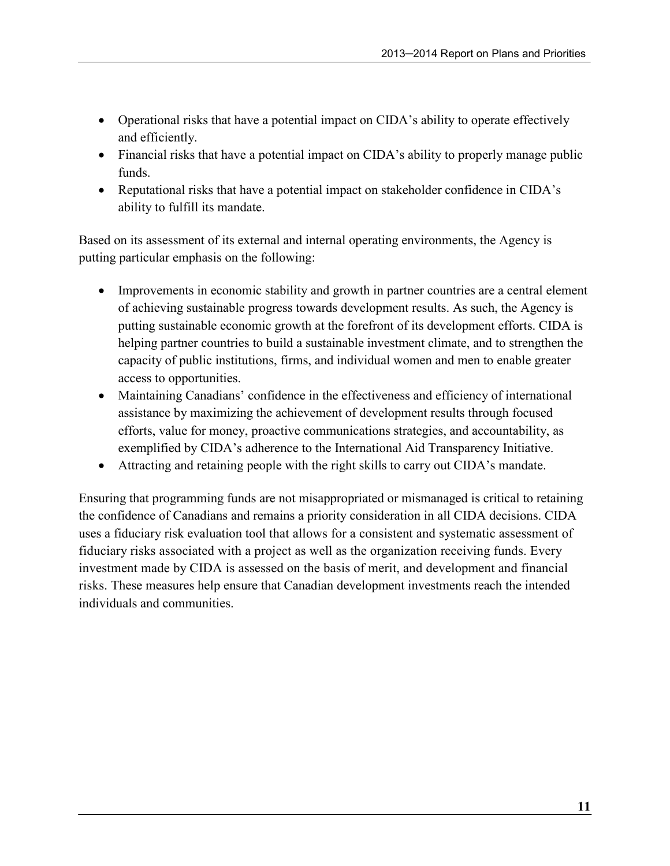- Operational risks that have a potential impact on CIDA's ability to operate effectively and efficiently.
- Financial risks that have a potential impact on CIDA's ability to properly manage public funds.
- Reputational risks that have a potential impact on stakeholder confidence in CIDA's ability to fulfill its mandate.

Based on its assessment of its external and internal operating environments, the Agency is putting particular emphasis on the following:

- Improvements in economic stability and growth in partner countries are a central element of achieving sustainable progress towards development results. As such, the Agency is putting sustainable economic growth at the forefront of its development efforts. CIDA is helping partner countries to build a sustainable investment climate, and to strengthen the capacity of public institutions, firms, and individual women and men to enable greater access to opportunities.
- Maintaining Canadians' confidence in the effectiveness and efficiency of international assistance by maximizing the achievement of development results through focused efforts, value for money, proactive communications strategies, and accountability, as exemplified by CIDA's adherence to the International Aid Transparency Initiative.
- Attracting and retaining people with the right skills to carry out CIDA's mandate.

Ensuring that programming funds are not misappropriated or mismanaged is critical to retaining the confidence of Canadians and remains a priority consideration in all CIDA decisions. CIDA uses a fiduciary risk evaluation tool that allows for a consistent and systematic assessment of fiduciary risks associated with a project as well as the organization receiving funds. Every investment made by CIDA is assessed on the basis of merit, and development and financial risks. These measures help ensure that Canadian development investments reach the intended individuals and communities.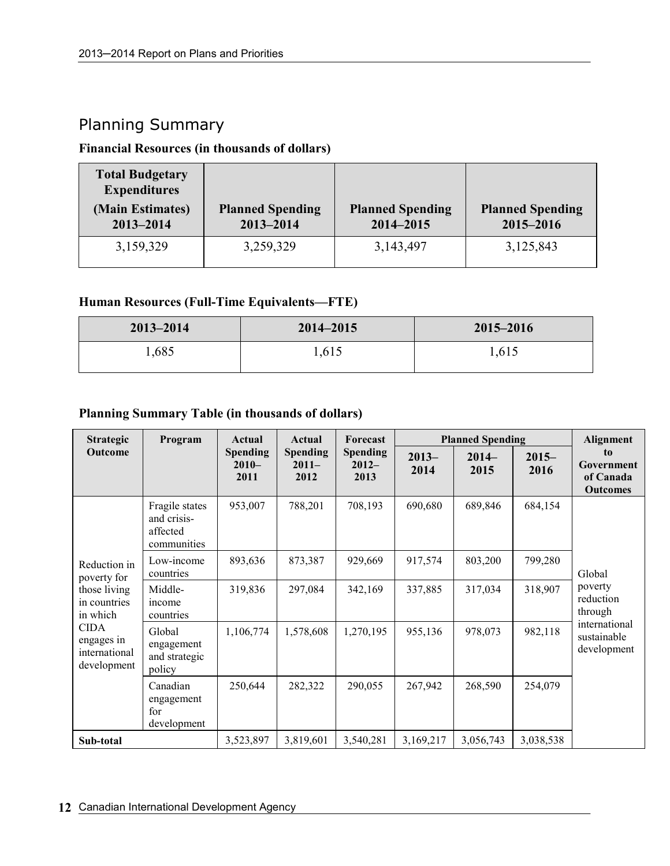### Planning Summary

#### Financial Resources (in thousands of dollars)

| <b>Total Budgetary</b><br><b>Expenditures</b> |                                      |                                      |                                      |
|-----------------------------------------------|--------------------------------------|--------------------------------------|--------------------------------------|
| (Main Estimates)<br>2013-2014                 | <b>Planned Spending</b><br>2013-2014 | <b>Planned Spending</b><br>2014-2015 | <b>Planned Spending</b><br>2015-2016 |
| 3,159,329                                     | 3,259,329                            | 3,143,497                            | 3,125,843                            |

#### Human Resources (Full-Time Equivalents—FTE)

| $2013 - 2014$ | 2014-2015 | 2015-2016 |
|---------------|-----------|-----------|
| 1,685         | .615      | 1,615     |

### Planning Summary Table (in thousands of dollars)

| <b>Strategic</b>                                          | Program                                                  | Actual                             | Actual                             | Forecast                            | <b>Planned Spending</b> |                 |                  | Alignment                                        |
|-----------------------------------------------------------|----------------------------------------------------------|------------------------------------|------------------------------------|-------------------------------------|-------------------------|-----------------|------------------|--------------------------------------------------|
| Outcome                                                   |                                                          | <b>Spending</b><br>$2010-$<br>2011 | <b>Spending</b><br>$2011-$<br>2012 | <b>Spending</b><br>$2012 -$<br>2013 | $2013-$<br>2014         | $2014-$<br>2015 | $2015 -$<br>2016 | to<br>Government<br>of Canada<br><b>Outcomes</b> |
|                                                           | Fragile states<br>and crisis-<br>affected<br>communities | 953,007                            | 788,201                            | 708,193                             | 690,680                 | 689,846         | 684,154          |                                                  |
| Reduction in<br>poverty for                               | Low-income<br>countries                                  | 893,636                            | 873,387                            | 929,669                             | 917,574                 | 803,200         | 799,280          | Global                                           |
| those living<br>in countries<br>in which                  | Middle-<br>income<br>countries                           | 319,836                            | 297,084                            | 342,169                             | 337,885                 | 317,034         | 318,907          | poverty<br>reduction<br>through                  |
| <b>CIDA</b><br>engages in<br>international<br>development | Global<br>engagement<br>and strategic<br>policy          | 1,106,774                          | 1,578,608                          | 1,270,195                           | 955,136                 | 978,073         | 982,118          | international<br>sustainable<br>development      |
|                                                           | Canadian<br>engagement<br>for<br>development             | 250,644                            | 282,322                            | 290,055                             | 267,942                 | 268,590         | 254,079          |                                                  |
| Sub-total                                                 |                                                          | 3,523,897                          | 3,819,601                          | 3,540,281                           | 3,169,217               | 3,056,743       | 3,038,538        |                                                  |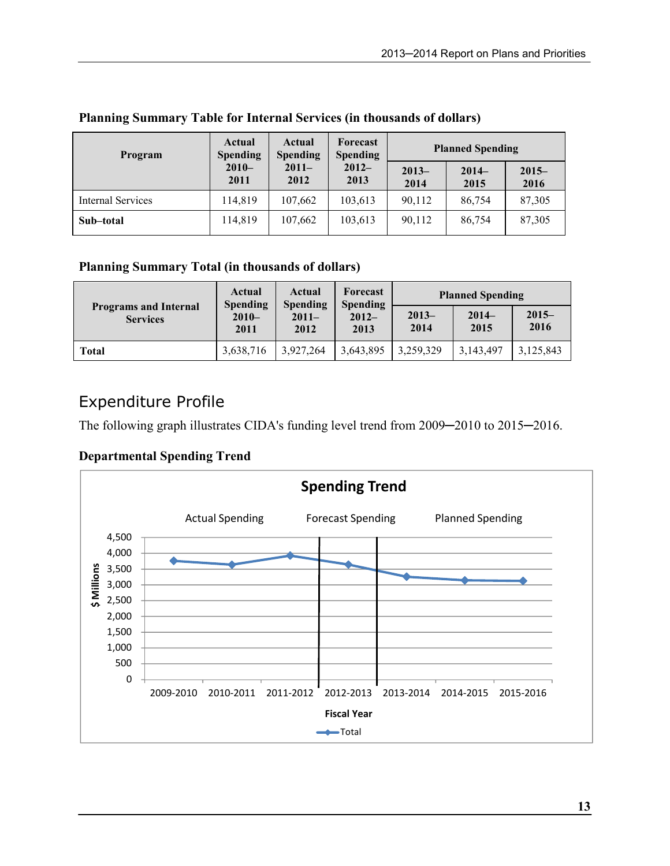| Program                  | Actual<br><b>Spending</b> | Actual<br><b>Spending</b> | Forecast<br><b>Spending</b> | <b>Planned Spending</b> |                 |                  |
|--------------------------|---------------------------|---------------------------|-----------------------------|-------------------------|-----------------|------------------|
|                          | $2010-$<br>2011           | $2011 -$<br>2012          | $2012 -$<br>2013            | $2013-$<br>2014         | $2014-$<br>2015 | $2015 -$<br>2016 |
| <b>Internal Services</b> | 114,819                   | 107,662                   | 103,613                     | 90,112                  | 86,754          | 87,305           |
| Sub-total                | 114,819                   | 107,662                   | 103,613                     | 90,112                  | 86,754          | 87,305           |

#### Planning Summary Table for Internal Services (in thousands of dollars)

### Planning Summary Total (in thousands of dollars)

|                 | Actual<br>Actual<br><b>Spending</b><br>Spending  |                  | Forecast<br>Spending | <b>Planned Spending</b> |                 |                  |
|-----------------|--------------------------------------------------|------------------|----------------------|-------------------------|-----------------|------------------|
| <b>Services</b> | <b>Programs and Internal</b><br>$2010 -$<br>2011 | $2011 -$<br>2012 | $2012-$<br>2013      | $2013-$<br>2014         | $2014-$<br>2015 | $2015 -$<br>2016 |
| Total           | 3,638,716                                        | 3.927.264        | 3,643,895            | 3,259,329               | 3,143,497       | 3,125,843        |

### Expenditure Profile

The following graph illustrates CIDA's funding level trend from 2009-2010 to 2015-2016.

### Departmental Spending Trend

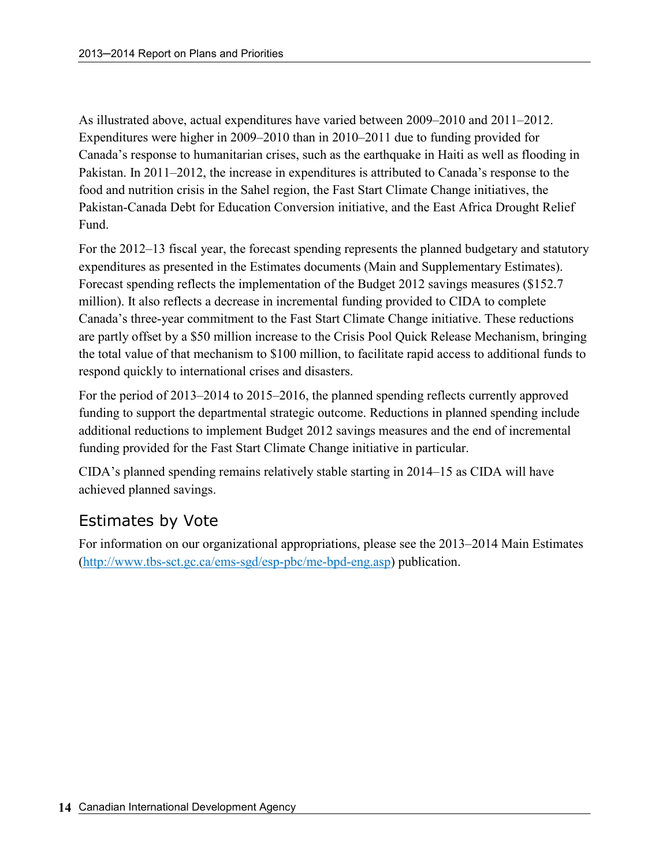As illustrated above, actual expenditures have varied between 2009–2010 and 2011–2012. Expenditures were higher in 2009–2010 than in 2010–2011 due to funding provided for Canada's response to humanitarian crises, such as the earthquake in Haiti as well as flooding in Pakistan. In 2011–2012, the increase in expenditures is attributed to Canada's response to the food and nutrition crisis in the Sahel region, the Fast Start Climate Change initiatives, the Pakistan-Canada Debt for Education Conversion initiative, and the East Africa Drought Relief Fund.

For the 2012–13 fiscal year, the forecast spending represents the planned budgetary and statutory expenditures as presented in the Estimates documents (Main and Supplementary Estimates). Forecast spending reflects the implementation of the Budget 2012 savings measures (\$152.7 million). It also reflects a decrease in incremental funding provided to CIDA to complete Canada's three-year commitment to the Fast Start Climate Change initiative. These reductions are partly offset by a \$50 million increase to the Crisis Pool Quick Release Mechanism, bringing the total value of that mechanism to \$100 million, to facilitate rapid access to additional funds to respond quickly to international crises and disasters.

For the period of 2013–2014 to 2015–2016, the planned spending reflects currently approved funding to support the departmental strategic outcome. Reductions in planned spending include additional reductions to implement Budget 2012 savings measures and the end of incremental funding provided for the Fast Start Climate Change initiative in particular.

CIDA's planned spending remains relatively stable starting in 2014–15 as CIDA will have achieved planned savings.

### Estimates by Vote

For information on our organizational appropriations, please see the 2013–2014 Main Estimates (http://www.tbs-sct.gc.ca/ems-sgd/esp-pbc/me-bpd-eng.asp) publication.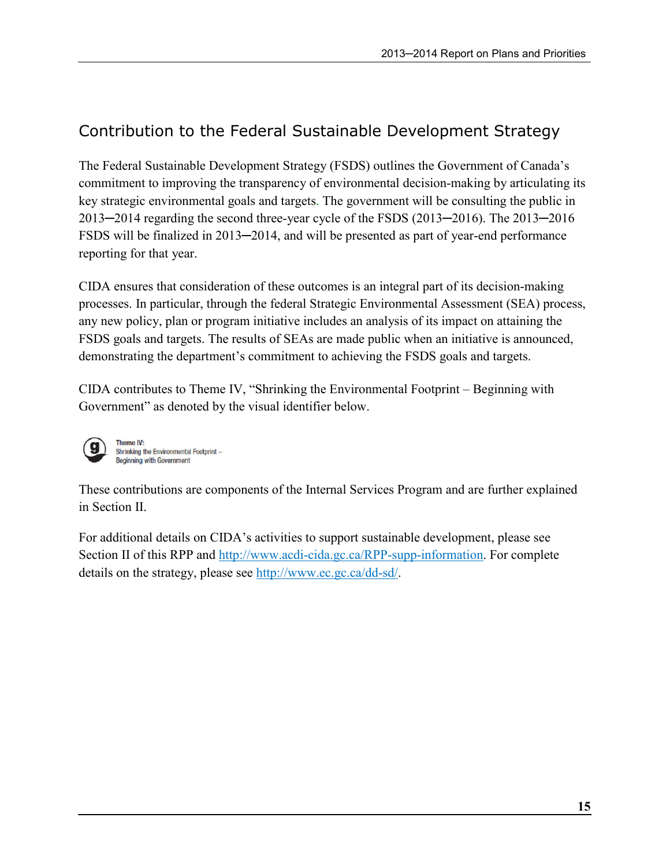# Contribution to the Federal Sustainable Development Strategy

The Federal Sustainable Development Strategy (FSDS) outlines the Government of Canada's commitment to improving the transparency of environmental decision-making by articulating its key strategic environmental goals and targets. The government will be consulting the public in 2013─2014 regarding the second three-year cycle of the FSDS (2013─2016). The 2013─2016 FSDS will be finalized in 2013—2014, and will be presented as part of year-end performance reporting for that year.

CIDA ensures that consideration of these outcomes is an integral part of its decision-making processes. In particular, through the federal Strategic Environmental Assessment (SEA) process, any new policy, plan or program initiative includes an analysis of its impact on attaining the FSDS goals and targets. The results of SEAs are made public when an initiative is announced, demonstrating the department's commitment to achieving the FSDS goals and targets.

CIDA contributes to Theme IV, "Shrinking the Environmental Footprint – Beginning with Government" as denoted by the visual identifier below.



**Theme IV** Shrinking the Environmental Footprint-**Beginning with Government** 

These contributions are components of the Internal Services Program and are further explained in Section II.

For additional details on CIDA's activities to support sustainable development, please see Section II of this RPP and http://www.acdi-cida.gc.ca/RPP-supp-information. For complete details on the strategy, please see http://www.ec.gc.ca/dd-sd/.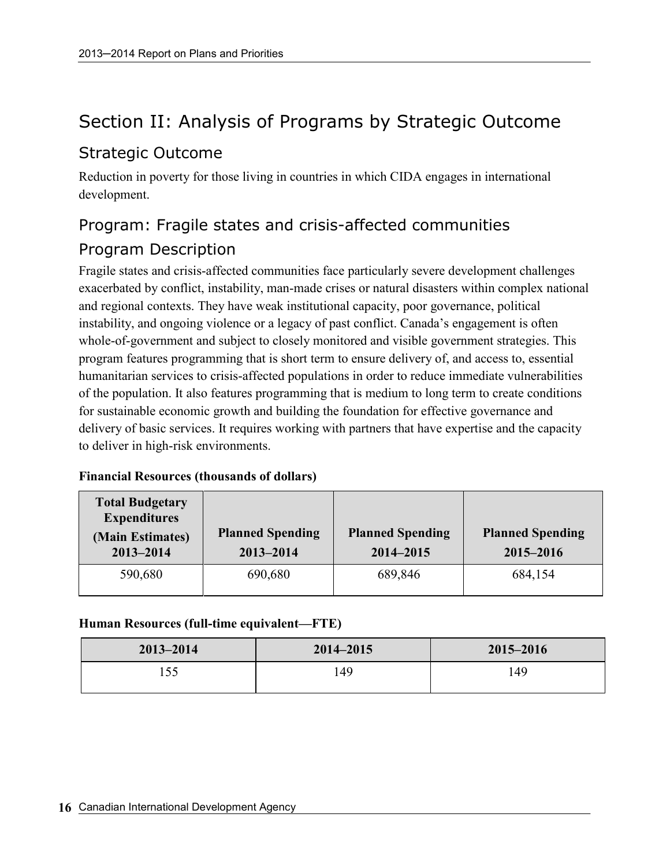# Section II: Analysis of Programs by Strategic Outcome

### Strategic Outcome

Reduction in poverty for those living in countries in which CIDA engages in international development.

# Program: Fragile states and crisis-affected communities Program Description

Fragile states and crisis-affected communities face particularly severe development challenges exacerbated by conflict, instability, man-made crises or natural disasters within complex national and regional contexts. They have weak institutional capacity, poor governance, political instability, and ongoing violence or a legacy of past conflict. Canada's engagement is often whole-of-government and subject to closely monitored and visible government strategies. This program features programming that is short term to ensure delivery of, and access to, essential humanitarian services to crisis-affected populations in order to reduce immediate vulnerabilities of the population. It also features programming that is medium to long term to create conditions for sustainable economic growth and building the foundation for effective governance and delivery of basic services. It requires working with partners that have expertise and the capacity to deliver in high-risk environments.

#### Financial Resources (thousands of dollars)

| <b>Total Budgetary</b><br><b>Expenditures</b><br>(Main Estimates)<br>$2013 - 2014$ | <b>Planned Spending</b><br>$2013 - 2014$ | <b>Planned Spending</b><br>2014-2015 | <b>Planned Spending</b><br>2015-2016 |
|------------------------------------------------------------------------------------|------------------------------------------|--------------------------------------|--------------------------------------|
| 590,680                                                                            | 690,680                                  | 689,846                              | 684,154                              |

#### Human Resources (full-time equivalent—FTE)

| $2013 - 2014$ | $2014 - 2015$ | 2015-2016 |
|---------------|---------------|-----------|
| 155           | 149           | 149       |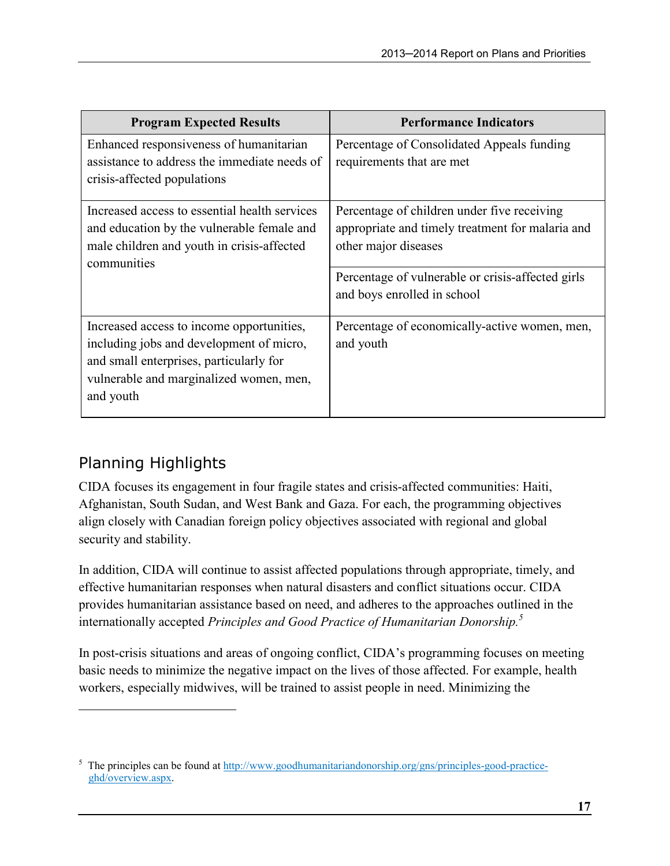| <b>Program Expected Results</b>                                                                                                                                                          | <b>Performance Indicators</b>                                                                                           |
|------------------------------------------------------------------------------------------------------------------------------------------------------------------------------------------|-------------------------------------------------------------------------------------------------------------------------|
| Enhanced responsiveness of humanitarian<br>assistance to address the immediate needs of<br>crisis-affected populations                                                                   | Percentage of Consolidated Appeals funding<br>requirements that are met                                                 |
| Increased access to essential health services<br>and education by the vulnerable female and<br>male children and youth in crisis-affected<br>communities                                 | Percentage of children under five receiving<br>appropriate and timely treatment for malaria and<br>other major diseases |
|                                                                                                                                                                                          | Percentage of vulnerable or crisis-affected girls<br>and boys enrolled in school                                        |
| Increased access to income opportunities,<br>including jobs and development of micro,<br>and small enterprises, particularly for<br>vulnerable and marginalized women, men,<br>and youth | Percentage of economically-active women, men,<br>and youth                                                              |

# Planning Highlights

 $\overline{a}$ 

CIDA focuses its engagement in four fragile states and crisis-affected communities: Haiti, Afghanistan, South Sudan, and West Bank and Gaza. For each, the programming objectives align closely with Canadian foreign policy objectives associated with regional and global security and stability.

In addition, CIDA will continue to assist affected populations through appropriate, timely, and effective humanitarian responses when natural disasters and conflict situations occur. CIDA provides humanitarian assistance based on need, and adheres to the approaches outlined in the internationally accepted Principles and Good Practice of Humanitarian Donorship.<sup>5</sup>

In post-crisis situations and areas of ongoing conflict, CIDA's programming focuses on meeting basic needs to minimize the negative impact on the lives of those affected. For example, health workers, especially midwives, will be trained to assist people in need. Minimizing the

 $<sup>5</sup>$  The principles can be found at  $\frac{http://www.google/humanitariandonorship.org/gns/principles.google-ractice-$ </sup> ghd/overview.aspx.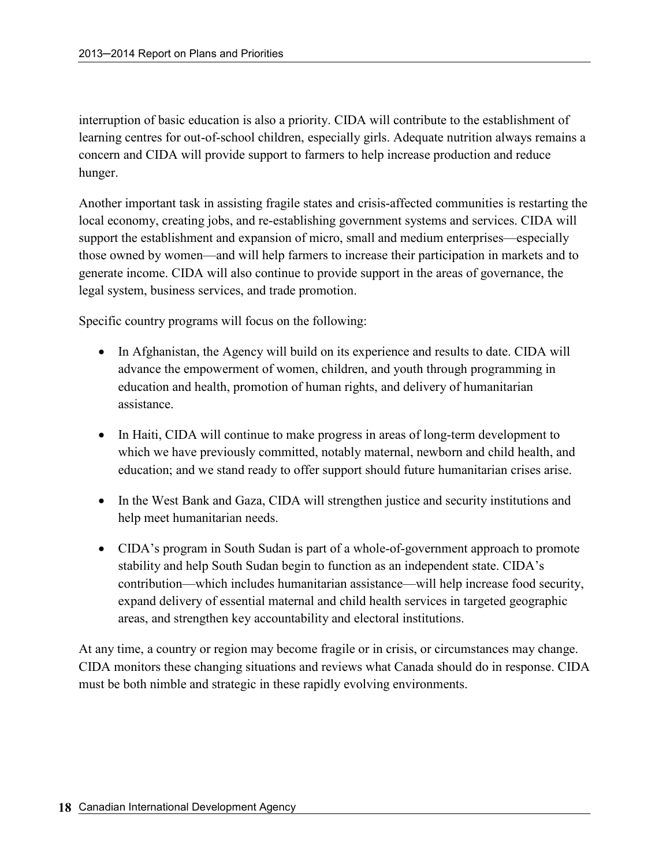interruption of basic education is also a priority. CIDA will contribute to the establishment of learning centres for out-of-school children, especially girls. Adequate nutrition always remains a concern and CIDA will provide support to farmers to help increase production and reduce hunger.

Another important task in assisting fragile states and crisis-affected communities is restarting the local economy, creating jobs, and re-establishing government systems and services. CIDA will support the establishment and expansion of micro, small and medium enterprises—especially those owned by women—and will help farmers to increase their participation in markets and to generate income. CIDA will also continue to provide support in the areas of governance, the legal system, business services, and trade promotion.

Specific country programs will focus on the following:

- In Afghanistan, the Agency will build on its experience and results to date. CIDA will advance the empowerment of women, children, and youth through programming in education and health, promotion of human rights, and delivery of humanitarian assistance.
- In Haiti, CIDA will continue to make progress in areas of long-term development to which we have previously committed, notably maternal, newborn and child health, and education; and we stand ready to offer support should future humanitarian crises arise.
- In the West Bank and Gaza, CIDA will strengthen justice and security institutions and help meet humanitarian needs.
- CIDA's program in South Sudan is part of a whole-of-government approach to promote stability and help South Sudan begin to function as an independent state. CIDA's contribution—which includes humanitarian assistance—will help increase food security, expand delivery of essential maternal and child health services in targeted geographic areas, and strengthen key accountability and electoral institutions.

At any time, a country or region may become fragile or in crisis, or circumstances may change. CIDA monitors these changing situations and reviews what Canada should do in response. CIDA must be both nimble and strategic in these rapidly evolving environments.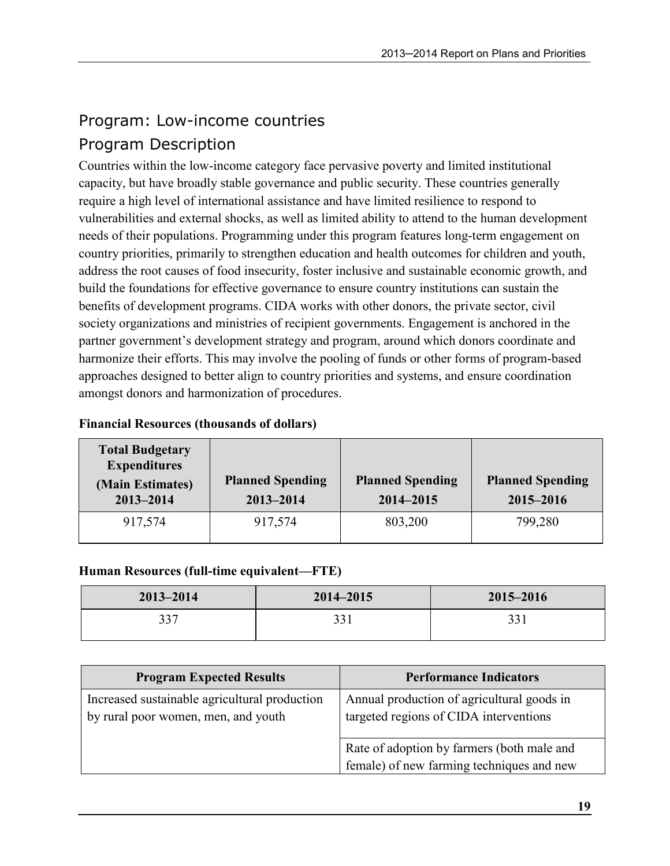# Program: Low-income countries

### Program Description

Countries within the low-income category face pervasive poverty and limited institutional capacity, but have broadly stable governance and public security. These countries generally require a high level of international assistance and have limited resilience to respond to vulnerabilities and external shocks, as well as limited ability to attend to the human development needs of their populations. Programming under this program features long-term engagement on country priorities, primarily to strengthen education and health outcomes for children and youth, address the root causes of food insecurity, foster inclusive and sustainable economic growth, and build the foundations for effective governance to ensure country institutions can sustain the benefits of development programs. CIDA works with other donors, the private sector, civil society organizations and ministries of recipient governments. Engagement is anchored in the partner government's development strategy and program, around which donors coordinate and harmonize their efforts. This may involve the pooling of funds or other forms of program-based approaches designed to better align to country priorities and systems, and ensure coordination amongst donors and harmonization of procedures.

| <b>Total Budgetary</b><br><b>Expenditures</b><br>(Main Estimates)<br>2013-2014 | <b>Planned Spending</b><br>2013-2014 | <b>Planned Spending</b><br>2014-2015 | <b>Planned Spending</b><br>2015-2016 |
|--------------------------------------------------------------------------------|--------------------------------------|--------------------------------------|--------------------------------------|
| 917,574                                                                        | 917,574                              | 803,200                              | 799,280                              |

### Financial Resources (thousands of dollars)

#### Human Resources (full-time equivalent—FTE)

| $2013 - 2014$ | 2014-2015   | 2015-2016 |
|---------------|-------------|-----------|
| 337           | າາ1<br>99 I | 221       |

| <b>Program Expected Results</b>                                                      | <b>Performance Indicators</b>                                                           |
|--------------------------------------------------------------------------------------|-----------------------------------------------------------------------------------------|
| Increased sustainable agricultural production<br>by rural poor women, men, and youth | Annual production of agricultural goods in<br>targeted regions of CIDA interventions    |
|                                                                                      | Rate of adoption by farmers (both male and<br>female) of new farming techniques and new |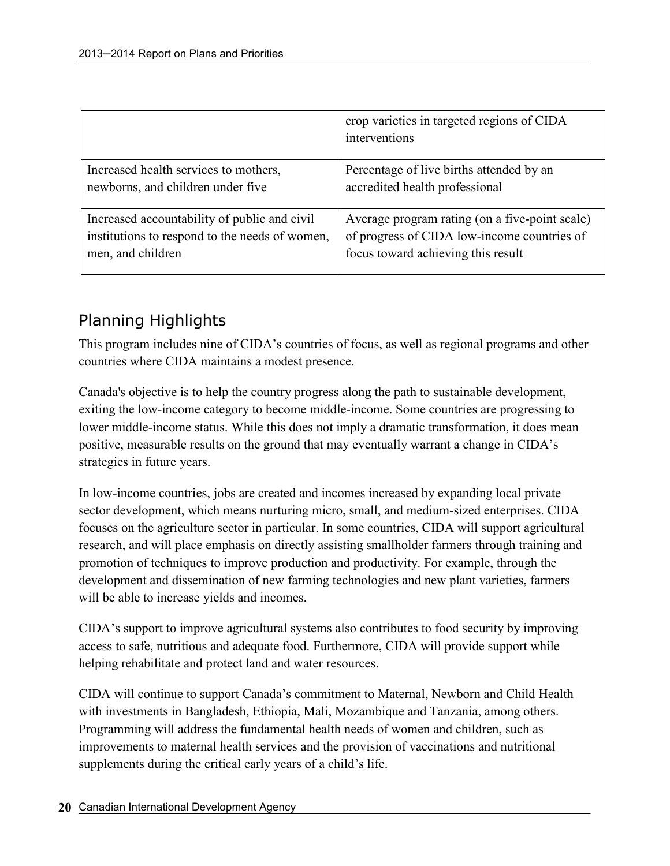|                                                | crop varieties in targeted regions of CIDA<br>interventions |
|------------------------------------------------|-------------------------------------------------------------|
| Increased health services to mothers,          | Percentage of live births attended by an                    |
| newborns, and children under five              | accredited health professional                              |
| Increased accountability of public and civil   | Average program rating (on a five-point scale)              |
| institutions to respond to the needs of women, | of progress of CIDA low-income countries of                 |
| men, and children                              | focus toward achieving this result                          |

### Planning Highlights

This program includes nine of CIDA's countries of focus, as well as regional programs and other countries where CIDA maintains a modest presence.

Canada's objective is to help the country progress along the path to sustainable development, exiting the low-income category to become middle-income. Some countries are progressing to lower middle-income status. While this does not imply a dramatic transformation, it does mean positive, measurable results on the ground that may eventually warrant a change in CIDA's strategies in future years.

In low-income countries, jobs are created and incomes increased by expanding local private sector development, which means nurturing micro, small, and medium-sized enterprises. CIDA focuses on the agriculture sector in particular. In some countries, CIDA will support agricultural research, and will place emphasis on directly assisting smallholder farmers through training and promotion of techniques to improve production and productivity. For example, through the development and dissemination of new farming technologies and new plant varieties, farmers will be able to increase yields and incomes.

CIDA's support to improve agricultural systems also contributes to food security by improving access to safe, nutritious and adequate food. Furthermore, CIDA will provide support while helping rehabilitate and protect land and water resources.

CIDA will continue to support Canada's commitment to Maternal, Newborn and Child Health with investments in Bangladesh, Ethiopia, Mali, Mozambique and Tanzania, among others. Programming will address the fundamental health needs of women and children, such as improvements to maternal health services and the provision of vaccinations and nutritional supplements during the critical early years of a child's life.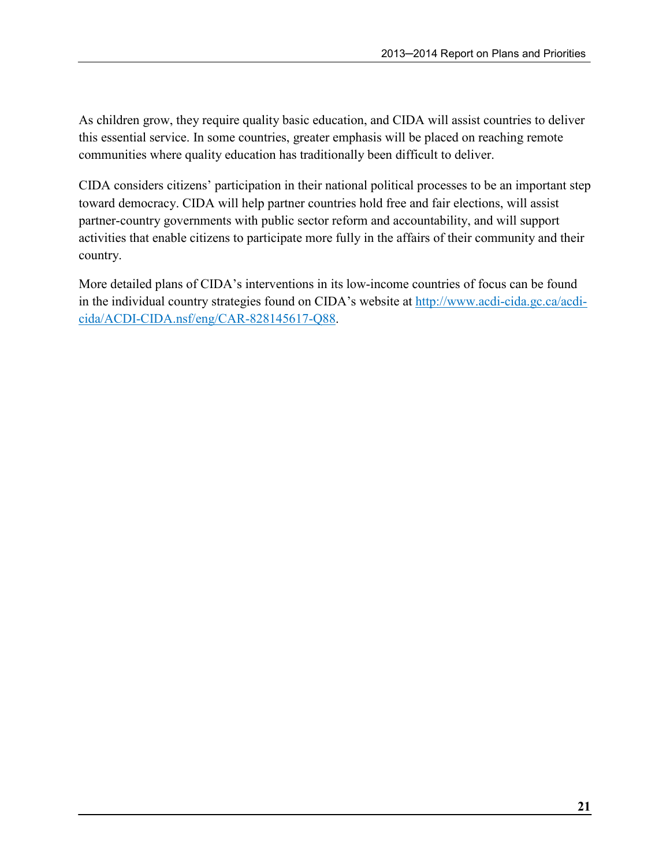As children grow, they require quality basic education, and CIDA will assist countries to deliver this essential service. In some countries, greater emphasis will be placed on reaching remote communities where quality education has traditionally been difficult to deliver.

CIDA considers citizens' participation in their national political processes to be an important step toward democracy. CIDA will help partner countries hold free and fair elections, will assist partner-country governments with public sector reform and accountability, and will support activities that enable citizens to participate more fully in the affairs of their community and their country.

More detailed plans of CIDA's interventions in its low-income countries of focus can be found in the individual country strategies found on CIDA's website at http://www.acdi-cida.gc.ca/acdicida/ACDI-CIDA.nsf/eng/CAR-828145617-Q88.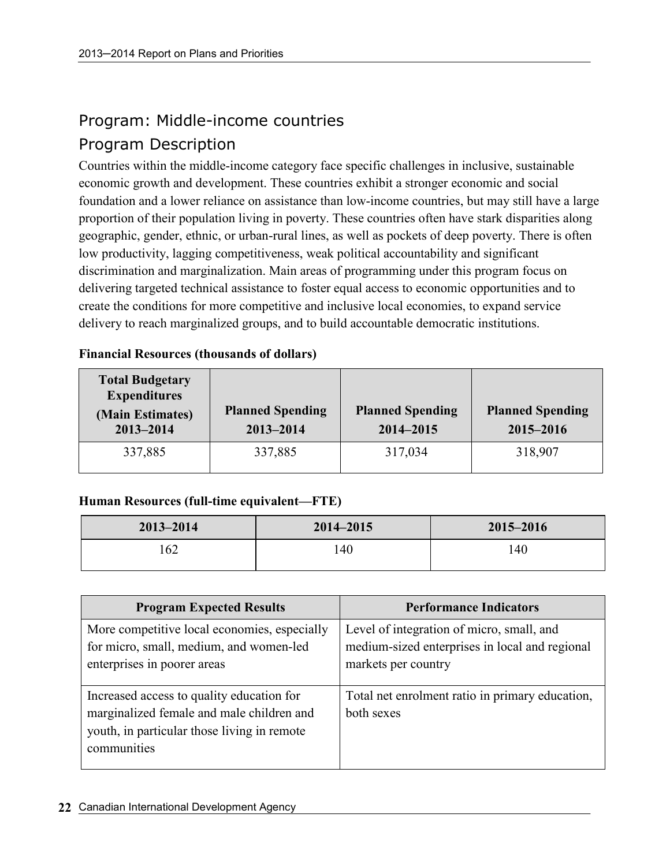# Program: Middle-income countries

# Program Description

Countries within the middle-income category face specific challenges in inclusive, sustainable economic growth and development. These countries exhibit a stronger economic and social foundation and a lower reliance on assistance than low-income countries, but may still have a large proportion of their population living in poverty. These countries often have stark disparities along geographic, gender, ethnic, or urban-rural lines, as well as pockets of deep poverty. There is often low productivity, lagging competitiveness, weak political accountability and significant discrimination and marginalization. Main areas of programming under this program focus on delivering targeted technical assistance to foster equal access to economic opportunities and to create the conditions for more competitive and inclusive local economies, to expand service delivery to reach marginalized groups, and to build accountable democratic institutions.

| 1 пійнски тезойгеся (піойзаная от абщигя)     |  |  |
|-----------------------------------------------|--|--|
| <b>Total Budgetary</b><br><b>Expenditures</b> |  |  |

#### Financial Resources (thousands of dollars)

| <b>Total Budgetary</b><br><b>Expenditures</b><br>(Main Estimates)<br>$2013 - 2014$ | <b>Planned Spending</b><br>2013-2014 | <b>Planned Spending</b><br>2014-2015 | <b>Planned Spending</b><br>2015-2016 |
|------------------------------------------------------------------------------------|--------------------------------------|--------------------------------------|--------------------------------------|
| 337,885                                                                            | 337,885                              | 317,034                              | 318,907                              |

### Human Resources (full-time equivalent—FTE)

| $2013 - 2014$ | $2014 - 2015$ | 2015-2016 |
|---------------|---------------|-----------|
| .62           | .40           | 140       |

| <b>Program Expected Results</b>                                                                                                                      | <b>Performance Indicators</b>                                                                                      |
|------------------------------------------------------------------------------------------------------------------------------------------------------|--------------------------------------------------------------------------------------------------------------------|
| More competitive local economies, especially<br>for micro, small, medium, and women-led<br>enterprises in poorer areas                               | Level of integration of micro, small, and<br>medium-sized enterprises in local and regional<br>markets per country |
| Increased access to quality education for<br>marginalized female and male children and<br>youth, in particular those living in remote<br>communities | Total net enrolment ratio in primary education,<br>both sexes                                                      |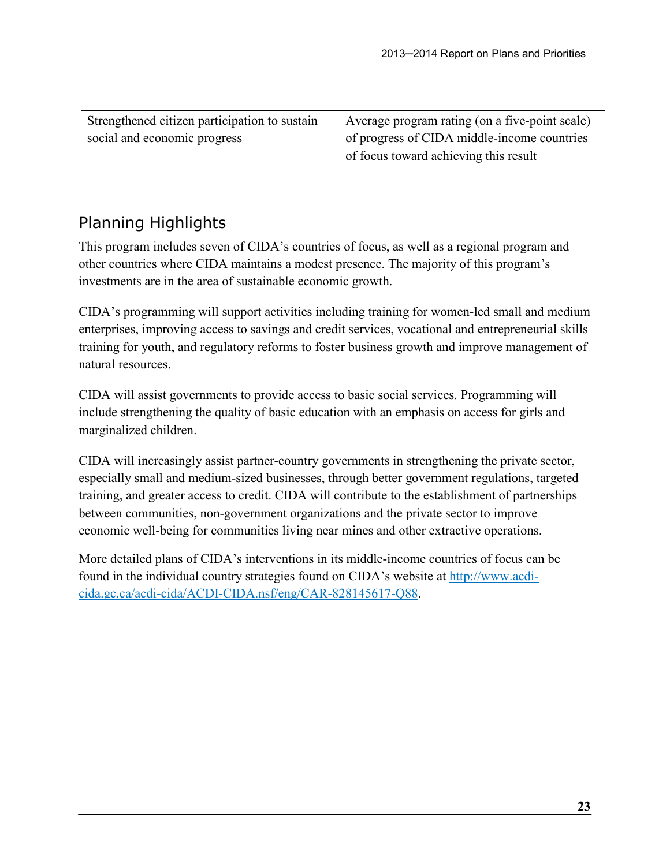| Strengthened citizen participation to sustain | Average program rating (on a five-point scale) |
|-----------------------------------------------|------------------------------------------------|
| social and economic progress                  | of progress of CIDA middle-income countries    |
|                                               | of focus toward achieving this result          |
|                                               |                                                |

# Planning Highlights

This program includes seven of CIDA's countries of focus, as well as a regional program and other countries where CIDA maintains a modest presence. The majority of this program's investments are in the area of sustainable economic growth.

CIDA's programming will support activities including training for women-led small and medium enterprises, improving access to savings and credit services, vocational and entrepreneurial skills training for youth, and regulatory reforms to foster business growth and improve management of natural resources.

CIDA will assist governments to provide access to basic social services. Programming will include strengthening the quality of basic education with an emphasis on access for girls and marginalized children.

CIDA will increasingly assist partner-country governments in strengthening the private sector, especially small and medium-sized businesses, through better government regulations, targeted training, and greater access to credit. CIDA will contribute to the establishment of partnerships between communities, non-government organizations and the private sector to improve economic well-being for communities living near mines and other extractive operations.

More detailed plans of CIDA's interventions in its middle-income countries of focus can be found in the individual country strategies found on CIDA's website at http://www.acdicida.gc.ca/acdi-cida/ACDI-CIDA.nsf/eng/CAR-828145617-Q88.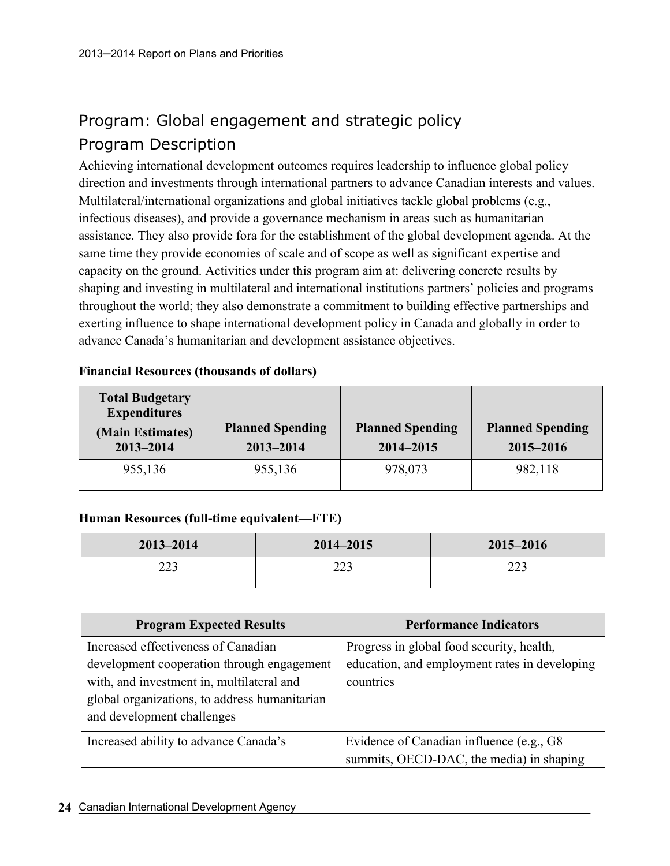# Program: Global engagement and strategic policy Program Description

Achieving international development outcomes requires leadership to influence global policy direction and investments through international partners to advance Canadian interests and values. Multilateral/international organizations and global initiatives tackle global problems (e.g., infectious diseases), and provide a governance mechanism in areas such as humanitarian assistance. They also provide fora for the establishment of the global development agenda. At the same time they provide economies of scale and of scope as well as significant expertise and capacity on the ground. Activities under this program aim at: delivering concrete results by shaping and investing in multilateral and international institutions partners' policies and programs throughout the world; they also demonstrate a commitment to building effective partnerships and exerting influence to shape international development policy in Canada and globally in order to advance Canada's humanitarian and development assistance objectives.

| <b>Total Budgetary</b><br><b>Expenditures</b><br>(Main Estimates)<br>2013-2014 | <b>Planned Spending</b><br>$2013 - 2014$ | <b>Planned Spending</b><br>2014-2015 | <b>Planned Spending</b><br>2015-2016 |
|--------------------------------------------------------------------------------|------------------------------------------|--------------------------------------|--------------------------------------|
| 955,136                                                                        | 955,136                                  | 978,073                              | 982,118                              |

#### Financial Resources (thousands of dollars)

### Human Resources (full-time equivalent—FTE)

| $2013 - 2014$ | $2014 - 2015$ | 2015-2016 |
|---------------|---------------|-----------|
| າາາ<br>223    | າາາ<br>ر ے ک  | 223       |

| <b>Program Expected Results</b>                                                                                                                                                                               | <b>Performance Indicators</b>                                                                           |
|---------------------------------------------------------------------------------------------------------------------------------------------------------------------------------------------------------------|---------------------------------------------------------------------------------------------------------|
| Increased effectiveness of Canadian<br>development cooperation through engagement<br>with, and investment in, multilateral and<br>global organizations, to address humanitarian<br>and development challenges | Progress in global food security, health,<br>education, and employment rates in developing<br>countries |
| Increased ability to advance Canada's                                                                                                                                                                         | Evidence of Canadian influence (e.g., G8)<br>summits, OECD-DAC, the media) in shaping                   |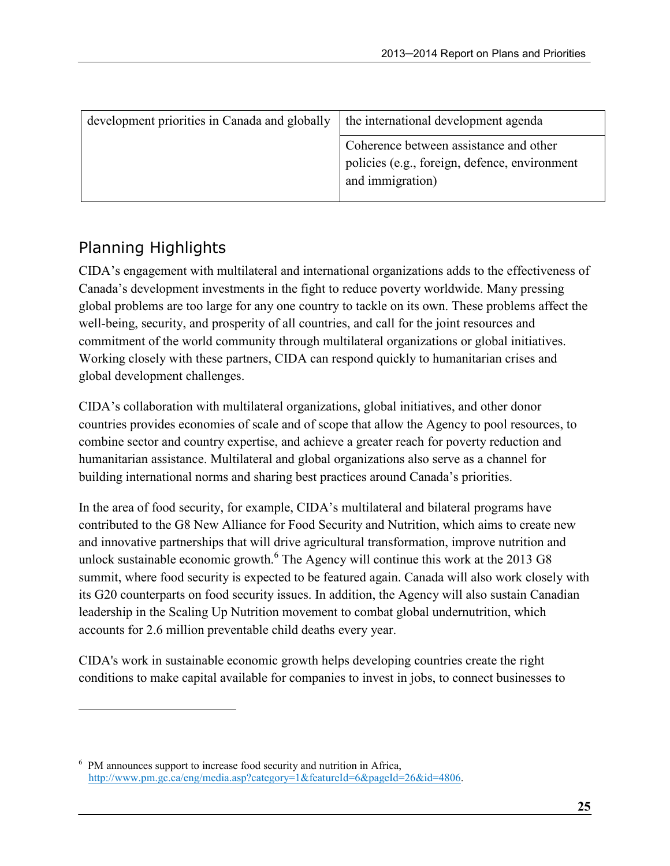| development priorities in Canada and globally | the international development agenda                                                                        |  |
|-----------------------------------------------|-------------------------------------------------------------------------------------------------------------|--|
|                                               | Coherence between assistance and other<br>policies (e.g., foreign, defence, environment<br>and immigration) |  |

# Planning Highlights

 $\overline{a}$ 

CIDA's engagement with multilateral and international organizations adds to the effectiveness of Canada's development investments in the fight to reduce poverty worldwide. Many pressing global problems are too large for any one country to tackle on its own. These problems affect the well-being, security, and prosperity of all countries, and call for the joint resources and commitment of the world community through multilateral organizations or global initiatives. Working closely with these partners, CIDA can respond quickly to humanitarian crises and global development challenges.

CIDA's collaboration with multilateral organizations, global initiatives, and other donor countries provides economies of scale and of scope that allow the Agency to pool resources, to combine sector and country expertise, and achieve a greater reach for poverty reduction and humanitarian assistance. Multilateral and global organizations also serve as a channel for building international norms and sharing best practices around Canada's priorities.

In the area of food security, for example, CIDA's multilateral and bilateral programs have contributed to the G8 New Alliance for Food Security and Nutrition, which aims to create new and innovative partnerships that will drive agricultural transformation, improve nutrition and unlock sustainable economic growth.<sup>6</sup> The Agency will continue this work at the 2013 G8 summit, where food security is expected to be featured again. Canada will also work closely with its G20 counterparts on food security issues. In addition, the Agency will also sustain Canadian leadership in the Scaling Up Nutrition movement to combat global undernutrition, which accounts for 2.6 million preventable child deaths every year.

CIDA's work in sustainable economic growth helps developing countries create the right conditions to make capital available for companies to invest in jobs, to connect businesses to

<sup>&</sup>lt;sup>6</sup> PM announces support to increase food security and nutrition in Africa, http://www.pm.gc.ca/eng/media.asp?category=1&featureId=6&pageId=26&id=4806.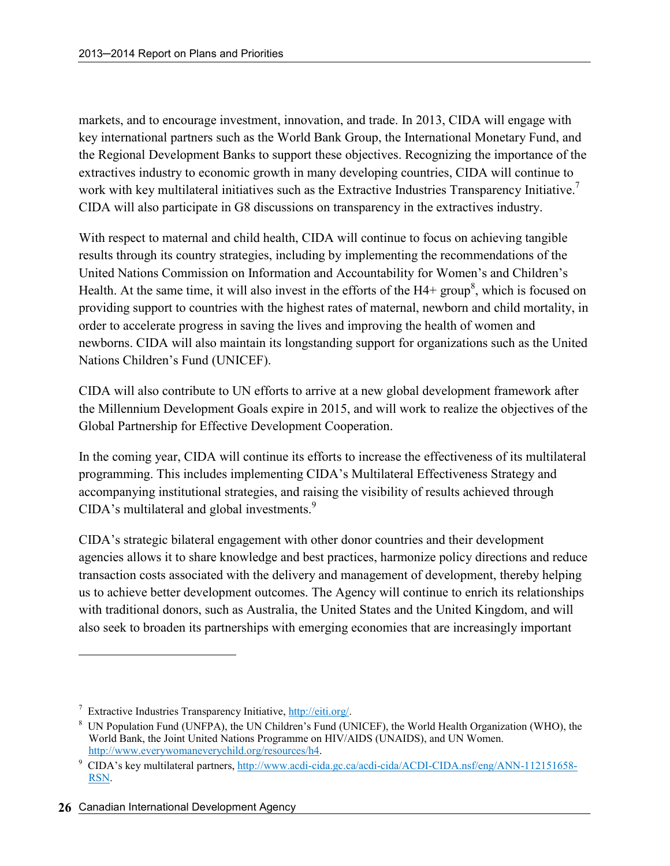markets, and to encourage investment, innovation, and trade. In 2013, CIDA will engage with key international partners such as the World Bank Group, the International Monetary Fund, and the Regional Development Banks to support these objectives. Recognizing the importance of the extractives industry to economic growth in many developing countries, CIDA will continue to work with key multilateral initiatives such as the Extractive Industries Transparency Initiative.<sup>7</sup> CIDA will also participate in G8 discussions on transparency in the extractives industry.

With respect to maternal and child health, CIDA will continue to focus on achieving tangible results through its country strategies, including by implementing the recommendations of the United Nations Commission on Information and Accountability for Women's and Children's Health. At the same time, it will also invest in the efforts of the  $H4+$  group<sup>8</sup>, which is focused on providing support to countries with the highest rates of maternal, newborn and child mortality, in order to accelerate progress in saving the lives and improving the health of women and newborns. CIDA will also maintain its longstanding support for organizations such as the United Nations Children's Fund (UNICEF).

CIDA will also contribute to UN efforts to arrive at a new global development framework after the Millennium Development Goals expire in 2015, and will work to realize the objectives of the Global Partnership for Effective Development Cooperation.

In the coming year, CIDA will continue its efforts to increase the effectiveness of its multilateral programming. This includes implementing CIDA's Multilateral Effectiveness Strategy and accompanying institutional strategies, and raising the visibility of results achieved through CIDA's multilateral and global investments. $9$ 

CIDA's strategic bilateral engagement with other donor countries and their development agencies allows it to share knowledge and best practices, harmonize policy directions and reduce transaction costs associated with the delivery and management of development, thereby helping us to achieve better development outcomes. The Agency will continue to enrich its relationships with traditional donors, such as Australia, the United States and the United Kingdom, and will also seek to broaden its partnerships with emerging economies that are increasingly important

 $\overline{a}$ 

<sup>&</sup>lt;sup>7</sup> Extractive Industries Transparency Initiative, http://eiti.org/.

<sup>&</sup>lt;sup>8</sup> UN Population Fund (UNFPA), the UN Children's Fund (UNICEF), the World Health Organization (WHO), the World Bank, the Joint United Nations Programme on HIV/AIDS (UNAIDS), and UN Women. http://www.everywomaneverychild.org/resources/h4.

<sup>&</sup>lt;sup>9</sup> CIDA's key multilateral partners, http://www.acdi-cida.gc.ca/acdi-cida/ACDI-CIDA.nsf/eng/ANN-112151658-RSN.

<sup>26</sup> Canadian International Development Agency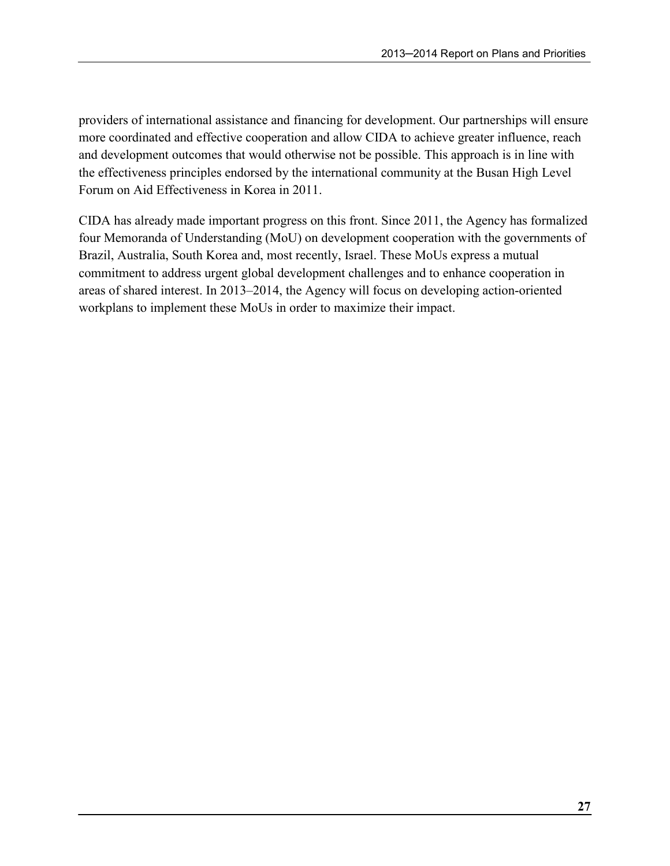providers of international assistance and financing for development. Our partnerships will ensure more coordinated and effective cooperation and allow CIDA to achieve greater influence, reach and development outcomes that would otherwise not be possible. This approach is in line with the effectiveness principles endorsed by the international community at the Busan High Level Forum on Aid Effectiveness in Korea in 2011.

CIDA has already made important progress on this front. Since 2011, the Agency has formalized four Memoranda of Understanding (MoU) on development cooperation with the governments of Brazil, Australia, South Korea and, most recently, Israel. These MoUs express a mutual commitment to address urgent global development challenges and to enhance cooperation in areas of shared interest. In 2013–2014, the Agency will focus on developing action-oriented workplans to implement these MoUs in order to maximize their impact.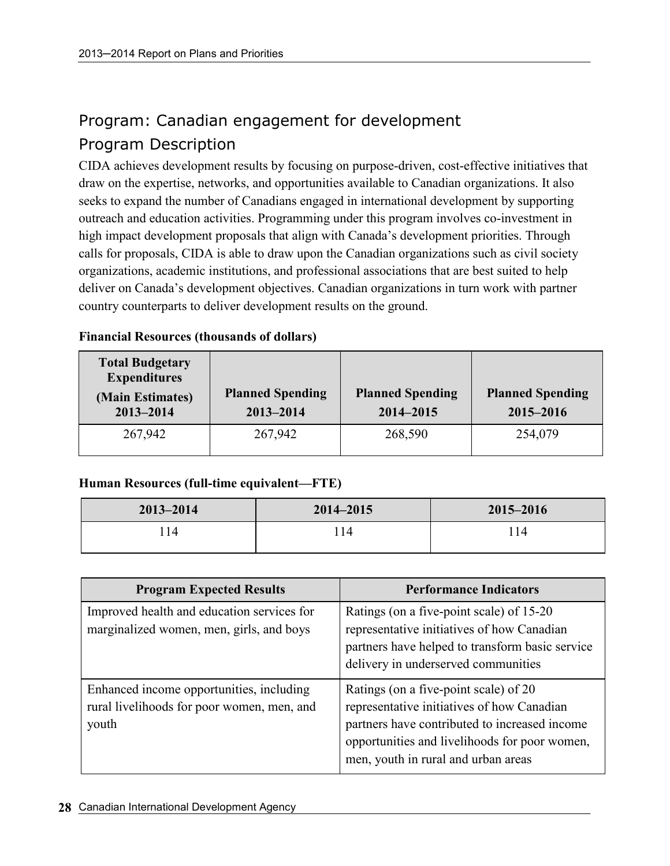# Program: Canadian engagement for development Program Description

CIDA achieves development results by focusing on purpose-driven, cost-effective initiatives that draw on the expertise, networks, and opportunities available to Canadian organizations. It also seeks to expand the number of Canadians engaged in international development by supporting outreach and education activities. Programming under this program involves co-investment in high impact development proposals that align with Canada's development priorities. Through calls for proposals, CIDA is able to draw upon the Canadian organizations such as civil society organizations, academic institutions, and professional associations that are best suited to help deliver on Canada's development objectives. Canadian organizations in turn work with partner country counterparts to deliver development results on the ground.

| <b>Total Budgetary</b><br><b>Expenditures</b><br>(Main Estimates)<br>2013-2014 | <b>Planned Spending</b><br>$2013 - 2014$ | <b>Planned Spending</b><br>2014-2015 | <b>Planned Spending</b><br>2015-2016 |
|--------------------------------------------------------------------------------|------------------------------------------|--------------------------------------|--------------------------------------|
| 267,942                                                                        | 267,942                                  | 268,590                              | 254,079                              |

#### Financial Resources (thousands of dollars)

### Human Resources (full-time equivalent—FTE)

| $2013 - 2014$ | 2014-2015 | 2015-2016 |
|---------------|-----------|-----------|
| $^{\prime}14$ | 14        | l 14      |

| <b>Program Expected Results</b>                                                                 | <b>Performance Indicators</b>                                                                                                                                                                                                |
|-------------------------------------------------------------------------------------------------|------------------------------------------------------------------------------------------------------------------------------------------------------------------------------------------------------------------------------|
| Improved health and education services for<br>marginalized women, men, girls, and boys          | Ratings (on a five-point scale) of 15-20<br>representative initiatives of how Canadian<br>partners have helped to transform basic service<br>delivery in underserved communities                                             |
| Enhanced income opportunities, including<br>rural livelihoods for poor women, men, and<br>youth | Ratings (on a five-point scale) of 20<br>representative initiatives of how Canadian<br>partners have contributed to increased income<br>opportunities and livelihoods for poor women,<br>men, youth in rural and urban areas |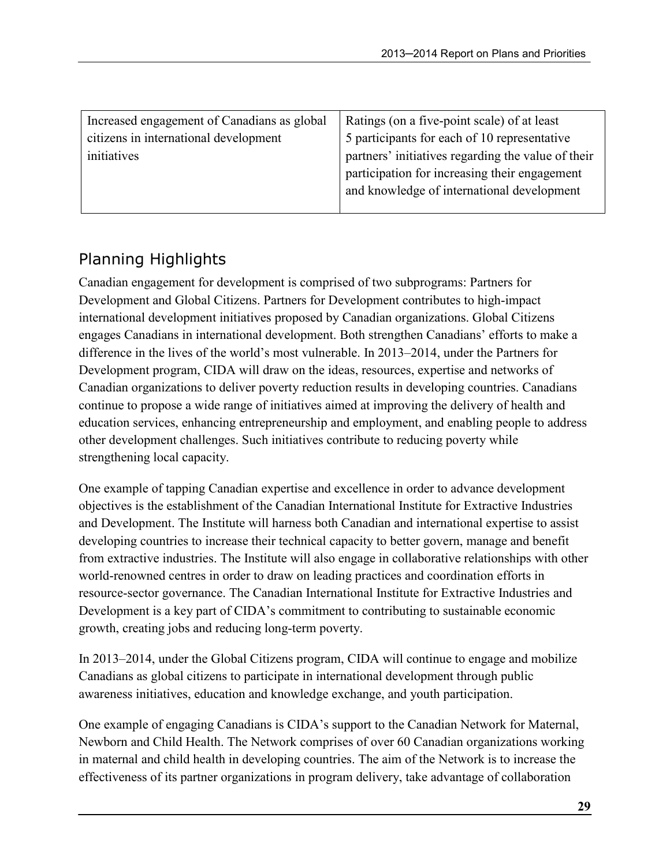| Increased engagement of Canadians as global | Ratings (on a five-point scale) of at least        |
|---------------------------------------------|----------------------------------------------------|
| citizens in international development       | 5 participants for each of 10 representative       |
| initiatives                                 | partners' initiatives regarding the value of their |
|                                             | participation for increasing their engagement      |
|                                             | and knowledge of international development         |
|                                             |                                                    |

# Planning Highlights

Canadian engagement for development is comprised of two subprograms: Partners for Development and Global Citizens. Partners for Development contributes to high-impact international development initiatives proposed by Canadian organizations. Global Citizens engages Canadians in international development. Both strengthen Canadians' efforts to make a difference in the lives of the world's most vulnerable. In 2013–2014, under the Partners for Development program, CIDA will draw on the ideas, resources, expertise and networks of Canadian organizations to deliver poverty reduction results in developing countries. Canadians continue to propose a wide range of initiatives aimed at improving the delivery of health and education services, enhancing entrepreneurship and employment, and enabling people to address other development challenges. Such initiatives contribute to reducing poverty while strengthening local capacity.

One example of tapping Canadian expertise and excellence in order to advance development objectives is the establishment of the Canadian International Institute for Extractive Industries and Development. The Institute will harness both Canadian and international expertise to assist developing countries to increase their technical capacity to better govern, manage and benefit from extractive industries. The Institute will also engage in collaborative relationships with other world-renowned centres in order to draw on leading practices and coordination efforts in resource-sector governance. The Canadian International Institute for Extractive Industries and Development is a key part of CIDA's commitment to contributing to sustainable economic growth, creating jobs and reducing long-term poverty.

In 2013–2014, under the Global Citizens program, CIDA will continue to engage and mobilize Canadians as global citizens to participate in international development through public awareness initiatives, education and knowledge exchange, and youth participation.

One example of engaging Canadians is CIDA's support to the Canadian Network for Maternal, Newborn and Child Health. The Network comprises of over 60 Canadian organizations working in maternal and child health in developing countries. The aim of the Network is to increase the effectiveness of its partner organizations in program delivery, take advantage of collaboration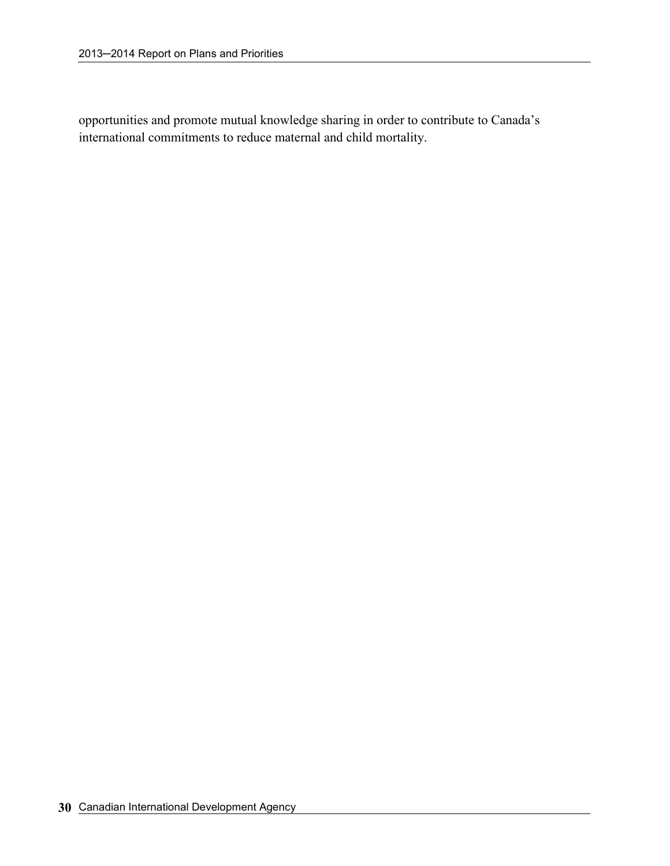opportunities and promote mutual knowledge sharing in order to contribute to Canada's international commitments to reduce maternal and child mortality.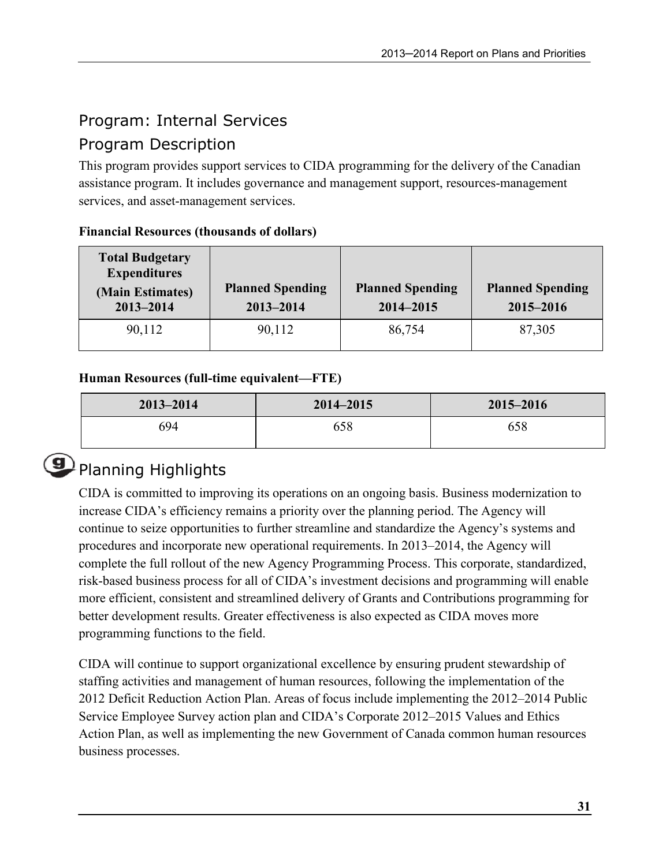# Program: Internal Services

### Program Description

This program provides support services to CIDA programming for the delivery of the Canadian assistance program. It includes governance and management support, resources-management services, and asset-management services.

| <b>Total Budgetary</b><br><b>Expenditures</b><br>(Main Estimates)<br>2013-2014 | <b>Planned Spending</b><br>$2013 - 2014$ | <b>Planned Spending</b><br>2014-2015 | <b>Planned Spending</b><br>2015-2016 |
|--------------------------------------------------------------------------------|------------------------------------------|--------------------------------------|--------------------------------------|
| 90,112                                                                         | 90,112                                   | 86,754                               | 87,305                               |

### Financial Resources (thousands of dollars)

### Human Resources (full-time equivalent—FTE)

| $2013 - 2014$ | $2014 - 2015$ | $2015 - 2016$ |
|---------------|---------------|---------------|
| 694           | 658           | 658           |



# **Planning Highlights**

CIDA is committed to improving its operations on an ongoing basis. Business modernization to increase CIDA's efficiency remains a priority over the planning period. The Agency will continue to seize opportunities to further streamline and standardize the Agency's systems and procedures and incorporate new operational requirements. In 2013–2014, the Agency will complete the full rollout of the new Agency Programming Process. This corporate, standardized, risk-based business process for all of CIDA's investment decisions and programming will enable more efficient, consistent and streamlined delivery of Grants and Contributions programming for better development results. Greater effectiveness is also expected as CIDA moves more programming functions to the field.

CIDA will continue to support organizational excellence by ensuring prudent stewardship of staffing activities and management of human resources, following the implementation of the 2012 Deficit Reduction Action Plan. Areas of focus include implementing the 2012–2014 Public Service Employee Survey action plan and CIDA's Corporate 2012–2015 Values and Ethics Action Plan, as well as implementing the new Government of Canada common human resources business processes.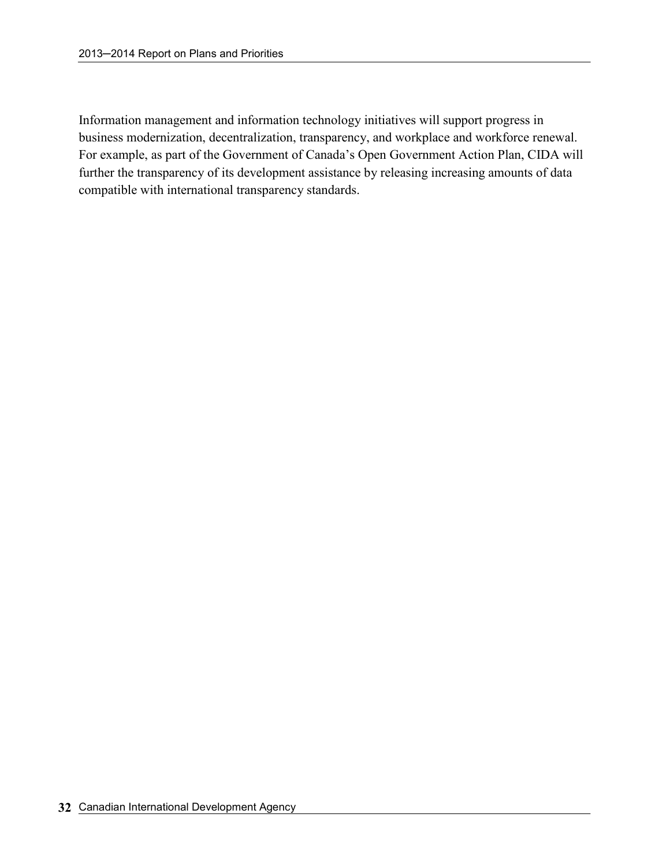Information management and information technology initiatives will support progress in business modernization, decentralization, transparency, and workplace and workforce renewal. For example, as part of the Government of Canada's Open Government Action Plan, CIDA will further the transparency of its development assistance by releasing increasing amounts of data compatible with international transparency standards.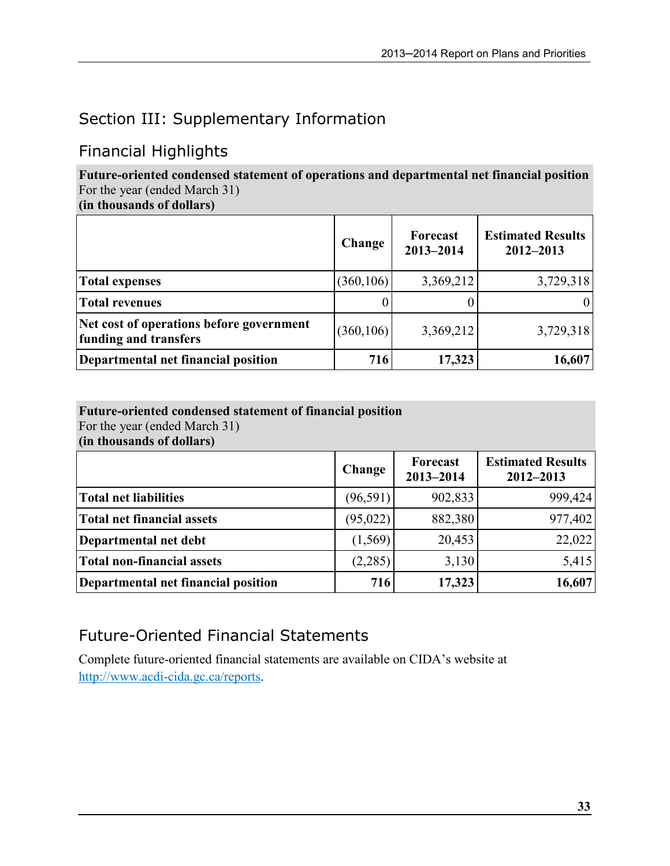# Section III: Supplementary Information

### Financial Highlights

Future-oriented condensed statement of operations and departmental net financial position For the year (ended March 31)

(in thousands of dollars)

|                                                                   | Change     | Forecast<br>2013-2014 | <b>Estimated Results</b><br>$2012 - 2013$ |
|-------------------------------------------------------------------|------------|-----------------------|-------------------------------------------|
| <b>Total expenses</b>                                             | (360, 106) | 3,369,212             | 3,729,318                                 |
| <b>Total revenues</b>                                             |            |                       |                                           |
| Net cost of operations before government<br>funding and transfers | (360, 106) | 3,369,212             | 3,729,318                                 |
| Departmental net financial position                               | 716        | 17,323                | 16,607                                    |

### Future-oriented condensed statement of financial position

For the year (ended March 31)

(in thousands of dollars)

|                                     | Change   | Forecast<br>2013-2014 | <b>Estimated Results</b><br>$2012 - 2013$ |
|-------------------------------------|----------|-----------------------|-------------------------------------------|
| <b>Total net liabilities</b>        | (96,591) | 902,833               | 999,424                                   |
| Total net financial assets          | (95,022) | 882,380               | 977,402                                   |
| Departmental net debt               | (1,569)  | 20,453                | 22,022                                    |
| Total non-financial assets          | (2,285)  | 3,130                 | 5,415                                     |
| Departmental net financial position | 716      | 17,323                | 16,607                                    |

# Future-Oriented Financial Statements

Complete future-oriented financial statements are available on CIDA's website at http://www.acdi-cida.gc.ca/reports.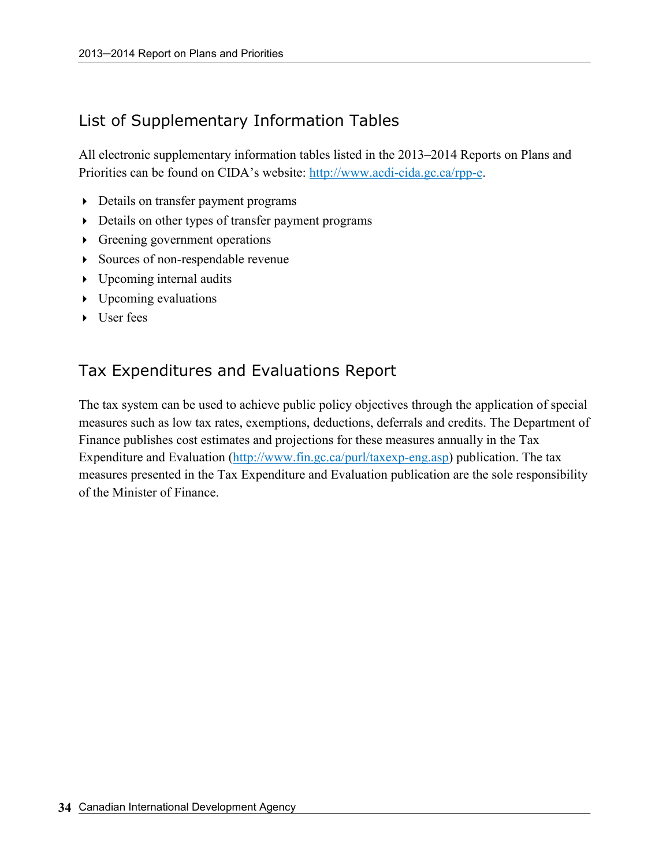### List of Supplementary Information Tables

All electronic supplementary information tables listed in the 2013–2014 Reports on Plans and Priorities can be found on CIDA's website: http://www.acdi-cida.gc.ca/rpp-e.

- Details on transfer payment programs
- Details on other types of transfer payment programs
- Greening government operations
- Sources of non-respendable revenue
- Upcoming internal audits
- Upcoming evaluations
- User fees

### Tax Expenditures and Evaluations Report

The tax system can be used to achieve public policy objectives through the application of special measures such as low tax rates, exemptions, deductions, deferrals and credits. The Department of Finance publishes cost estimates and projections for these measures annually in the Tax Expenditure and Evaluation (http://www.fin.gc.ca/purl/taxexp-eng.asp) publication. The tax measures presented in the Tax Expenditure and Evaluation publication are the sole responsibility of the Minister of Finance.